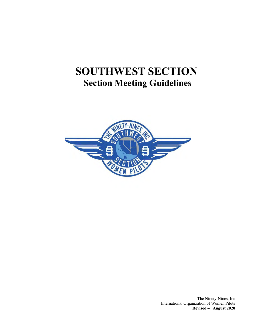# **SOUTHWEST SECTION Section Meeting Guidelines**



The Ninety-Nines, Inc International Organization of Women Pilots **Revised – August 2020**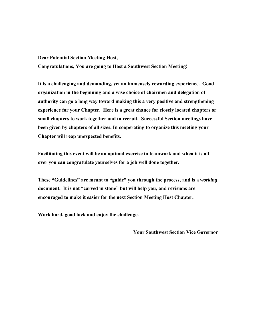**Dear Potential Section Meeting Host,**

**Congratulations, You are going to Host a Southwest Section Meeting!**

**It is a challenging and demanding, yet an immensely rewarding experience. Good organization in the beginning and a wise choice of chairmen and delegation of authority can go a long way toward making this a very positive and strengthening experience for your Chapter. Here is a great chance for closely located chapters or small chapters to work together and to recruit. Successful Section meetings have been given by chapters of all sizes. In cooperating to organize this meeting your Chapter will reap unexpected benefits.**

**Facilitating this event will be an optimal exercise in teamwork and when it is all over you can congratulate yourselves for a job well done together.**

**These "Guidelines" are meant to "guide" you through the process, and is a** *working* **document. It is not "carved in stone" but will help you, and revisions are encouraged to make it easier for the next Section Meeting Host Chapter.**

**Work hard, good luck and enjoy the challenge.**

**Your Southwest Section Vice Governor**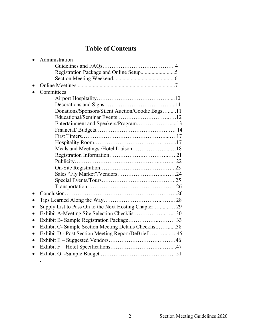## **Table of Contents**

|           | Administration                                         |  |
|-----------|--------------------------------------------------------|--|
|           |                                                        |  |
|           |                                                        |  |
|           |                                                        |  |
|           |                                                        |  |
|           | Committees                                             |  |
|           |                                                        |  |
|           |                                                        |  |
|           | Donations/Sponsors/Silent Auction/Goodie Bags11        |  |
|           |                                                        |  |
|           | Entertainment and Speakers/Program13                   |  |
|           |                                                        |  |
|           |                                                        |  |
|           |                                                        |  |
|           | Meals and Meetings /Hotel Liaison18                    |  |
|           |                                                        |  |
|           |                                                        |  |
|           |                                                        |  |
|           |                                                        |  |
|           |                                                        |  |
|           |                                                        |  |
|           |                                                        |  |
|           |                                                        |  |
|           | Supply List to Pass On to the Next Hosting Chapter  29 |  |
| $\bullet$ | Exhibit A-Meeting Site Selection Checklist 30          |  |
| $\bullet$ |                                                        |  |
| $\bullet$ | Exhibit C- Sample Section Meeting Details Checklist38  |  |
| $\bullet$ | Exhibit D - Post Section Meeting Report/DeBrief45      |  |
| $\bullet$ |                                                        |  |
|           |                                                        |  |
|           |                                                        |  |
|           |                                                        |  |

.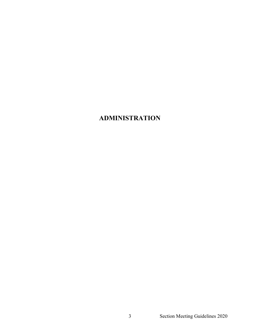## **ADMINISTRATION**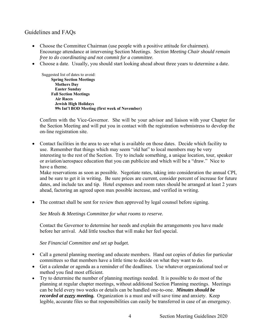### Guidelines and FAQs

- Choose the Committee Chairman (use people with a positive attitude for chairmen). Encourage attendance at intervening Section Meetings. *Section Meeting Chair should remain free to do coordinating and not commit for a committee.*
- Choose a date. Usually, you should start looking ahead about three years to determine a date.

Suggested list of dates to avoid: **Spring Section Meetings Mothers Day Easter Sunday Fall Section Meetings Air Races Jewish High Holidays 99s Int'l BOD Meeting (first week of November)**

Confirm with the Vice-Governor. She will be your advisor and liaison with your Chapter for the Section Meeting and will put you in contact with the registration webmistress to develop the on-line registration site.

• Contact facilities in the area to see what is available on those dates. Decide which facility to use. Remember that things which may seem "old hat" to local members may be very interesting to the rest of the Section. Try to include something, a unique location, tour, speaker or aviation/aerospace education that you can publicize and which will be a "draw." Nice to have a theme.

Make reservations as soon as possible. Negotiate rates, taking into consideration the annual CPI, and be sure to get it in writing. Be sure prices are current, consider percent of increase for future dates, and include tax and tip. Hotel expenses and room rates should be arranged at least 2 years ahead, factoring an agreed upon max possible increase, and verified in writing.

• The contract shall be sent for review then approved by legal counsel before signing.

*See Meals & Meetings Committee for what rooms to reserve.*

Contact the Governor to determine her needs and explain the arrangements you have made before her arrival. Add little touches that will make her feel special.

*See Financial Committee and set up budget.*

- Call a general planning meeting and educate members. Hand out copies of duties for particular committees so that members have a little time to decide on what they want to do.
- Get a calendar or agenda as a reminder of the deadlines*.* Use whatever organizational tool or method you find most efficient.
- Try to determine the number of planning meetings needed. It is possible to do most of the planning at regular chapter meetings, without additional Section Planning meetings. Meetings can be held every two weeks or details can be handled one-to-one. *Minutes should be recorded at every meeting.* Organization is a must and will save time and anxiety. Keep legible, accurate files so that responsibilities can easily be transferred in case of an emergency.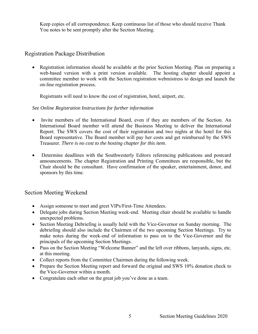Keep copies of all correspondence. Keep continuous list of those who should receive Thank You notes to be sent promptly after the Section Meeting.

#### Registration Package Distribution

• Registration information should be available at the prior Section Meeting. Plan on preparing a web-based version with a print version available. The hosting chapter should appoint a committee member to work with the Section registration webmistress to design and launch the on-line registration process.

Registrants will need to know the cost of registration, hotel, airport, etc.

#### *See Online Registration Instructions for further information*

- Invite members of the International Board, even if they are members of the Section. An International Board member will attend the Business Meeting to deliver the International Report. The SWS covers the cost of their registration and two nights at the hotel for this Board representative. The Board member will pay her costs and get reimbursed by the SWS Treasurer. *There is no cost to the hosting chapter for this item.*
- Determine deadlines with the Southwesterly Editors referencing publications and postcard announcements. The chapter Registration and Printing Committees are responsible, but the Chair should be the consultant. Have confirmation of the speaker, entertainment, donor, and sponsors by this time.

#### Section Meeting Weekend

- Assign someone to meet and greet VIPs/First-Time Attendees.
- Delegate jobs during Section Meeting week-end. Meeting chair should be available to handle unexpected problems.
- Section Meeting Debriefing is usually held with the Vice-Governor on Sunday morning. The debriefing should also include the Chairmen of the two upcoming Section Meetings. Try to make notes during the week-end of information to pass on to the Vice-Governor and the principals of the upcoming Section Meetings.
- Pass on the Section Meeting "Welcome Banner" and the left over ribbons, lanyards, signs, etc. at this meeting.
- Collect reports from the Committee Chairmen during the following week.
- Prepare the Section Meeting report and forward the original and SWS 10% donation check to the Vice-Governor within a month.
- Congratulate each other on the great job you've done as a team.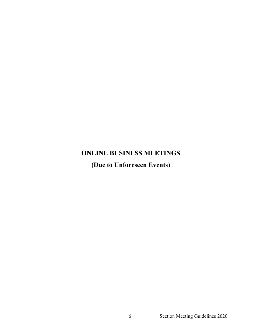# **ONLINE BUSINESS MEETINGS (Due to Unforeseen Events)**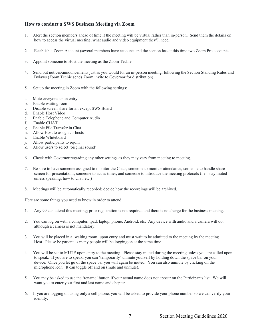#### **How to conduct a SWS Business Meeting via Zoom**

- 1. Alert the section members ahead of time if the meeting will be virtual rather than in-person. Send them the details on how to access the virtual meeting; what audio and video equipment they'll need.
- 2. Establish a Zoom Account (several members have accounts and the section has at this time two Zoom Pro accounts.
- 3. Appoint someone to Host the meeting as the Zoom Techie
- 4. Send out notices/announcements just as you would for an in-person meeting, following the Section Standing Rules and Bylaws (Zoom Techie sends Zoom invite to Governor for distribution)
- 5. Set up the meeting in Zoom with the following settings:
- a. Mute everyone upon entry
- b. Enable waiting room
- c. Disable screen share for all except SWS Board
- d. Enable Host Video
- e. Enable Telephone and Computer Audio
- f. Enable CHAT
- g. Enable File Transfer in Chat
- h. Allow Host to assign co-hosts
- i. Enable Whiteboard
- j. Allow participants to rejoin
- k. Allow users to select 'original sound'
- 6. Check with Governor regarding any other settings as they may vary from meeting to meeting.
- 7. Be sure to have someone assigned to monitor the Chats, someone to monitor attendance, someone to handle share screen for presentations, someone to act as timer, and someone to introduce the meeting protocols (i.e., stay muted unless speaking, how to chat, etc.)
- 8. Meetings will be automatically recorded; decide how the recordings will be archived.

Here are some things you need to know in order to attend:

- 1. Any 99 can attend this meeting; prior registration is not required and there is no charge for the business meeting.
- 2. You can log on with a computer, ipad, laptop, phone, Android, etc. Any device with audio and a camera will do, although a camera is not mandatory.
- 3. You will be placed in a 'waiting room' upon entry and must wait to be admitted to the meeting by the meeting Host. Please be patient as many people will be logging on at the same time.
- 4. You will be set to MUTE upon entry to the meeting. Please stay muted during the meeting unless you are called upon to speak. If you are to speak, you can 'temporarily' unmute yourself by holding down the space bar on your device. Once you let go of the space bar you will again be muted. You can also unmute by clicking on the microphone icon. It can toggle off and on (mute and unmute).
- 5. You may be asked to use the 'rename' button if your actual name does not appear on the Participants list. We will want you to enter your first and last name and chapter.
- 6. If you are logging on using only a cell phone, you will be asked to provide your phone number so we can verify your identity.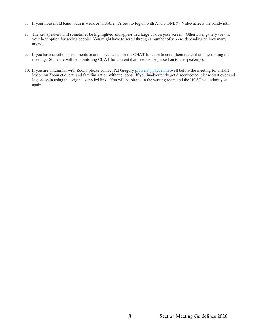- 7. If your household bandwidth is weak or unstable, it's best to log on with Audio ONLY. Video affects the bandwidth.
- 8. The key speakers will sometimes be highlighted and appear in a large box on your screen. Otherwise, gallery view is your best option for seeing people. You might have to scroll through a number of screens depending on how many attend.
- 9. If you have questions, comments or announcements use the CHAT function to enter them rather than interrupting the meeting. Someone will be monitoring CHAT for content that needs to be passed on to the speaker(s).
- 10. If you are unfamiliar with Zoom, please contact Pat Gregory [plowers@pacbell.netw](mailto:plowers@pacbell.net)ell before the meeting for a short lesson on Zoom etiquette and familiarization with the icons. If you inadvertently get disconnected, please start over and log on again using the original supplied link. You will be placed in the waiting room and the HOST will admit you again.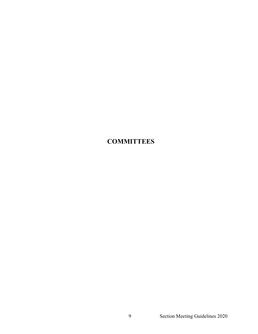## **COMMITTEES**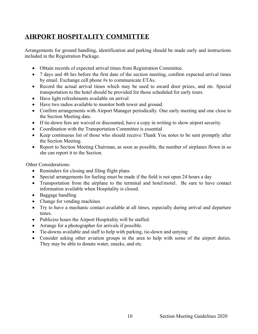## **AIRPORT HOSPITALITY COMMITTEE**

Arrangements for ground handling, identification and parking should be made early and instructions included in the Registration Package.

- Obtain records of expected arrival times from Registration Committee.
- 7 days and 48 hrs before the first date of the section meeting, confirm expected arrival times by email. Exchange cell phone #s to communicate ETAs.
- Record the actual arrival times which may be used to award door prizes, and etc. Special transportation to the hotel should be provided for those scheduled for early tours.
- Have light refreshments available on arrival
- Have two radios available to monitor both tower and ground.
- Confirm arrangements with Airport Manager periodically. One early meeting and one close to the Section Meeting date.
- If tie-down fees are waived or discounted, have a copy in writing to show airport security.
- Coordination with the Transportation Committee is essential
- Keep continuous list of those who should receive Thank You notes to be sent promptly after the Section Meeting.
- Report to Section Meeting Chairman, as soon as possible, the number of airplanes flown in so she can report it to the Section.

Other Considerations:

- Reminders for closing and filing flight plans
- Special arrangements for fueling must be made if the field is not open 24 hours a day
- Transportation from the airplane to the terminal and hotel/motel. Be sure to have contact information available when Hospitality is closed.
- Baggage handling
- Change for vending machines
- Try to have a mechanic contact available at all times, especially during arrival and departure times.
- Publicize hours the Airport Hospitality will be staffed.
- Arrange for a photographer for arrivals if possible.
- Tie-downs available and staff to help with parking, tie-down and untying
- Consider asking other aviation groups in the area to help with some of the airport duties. They may be able to donate water, snacks, and etc.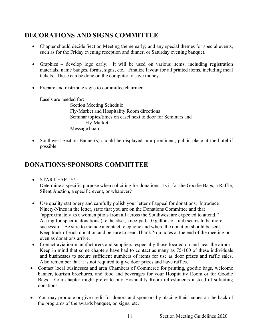## **DECORATIONS AND SIGNS COMMITTEE**

- Chapter should decide Section Meeting theme early; and any special themes for special events, such as for the Friday evening reception and dinner, or Saturday evening banquet.
- Graphics develop logo early. It will be used on various items, including registration materials, name badges, forms, signs, etc.. Finalize layout for all printed items, including meal tickets. These can be done on the computer to save money.
- Prepare and distribute signs to committee chairmen.

Easels are needed for:

Section Meeting Schedule Fly-Market and Hospitality Room directions Seminar topics/times on easel next to door for Seminars and Fly-Market Message board

• Southwest Section Banner(s) should be displayed in a prominent, public place at the hotel if possible.

## **DONATIONS/SPONSORS COMMITTEE**

- START EARLY! Determine a specific purpose when soliciting for donations. Is it for the Goodie Bags, a Raffle, Silent Auction, a specific event, or whatever?
- Use quality stationery and carefully polish your letter of appeal for donations. Introduce Ninety-Nines in the letter, state that you are on the Donations Committee and that "approximately xxx women pilots from all across the Southwest are expected to attend." Asking for specific donations (i.e. headset, knee-pad, 10 gallons of fuel) seems to be more successful. Be sure to include a contact telephone and where the donation should be sent. Keep track of each donation and be sure to send Thank You notes at the end of the meeting or even as donations arrive.
- Contact aviation manufacturers and suppliers, especially those located on and near the airport. Keep in mind that some chapters have had to contact as many as 75-100 of these individuals and businesses to secure sufficient numbers of items for use as door prizes and raffle sales. Also remember that it is not required to give door prizes and have raffles.
- Contact local businesses and area Chambers of Commerce for printing, goodie bags, welcome banner, tourism brochures, and food and beverages for your Hospitality Room or for Goodie Bags. Your chapter might prefer to buy Hospitality Room refreshments instead of soliciting donations.
- You may promote or give credit for donors and sponsors by placing their names on the back of the programs of the awards banquet, on signs, etc.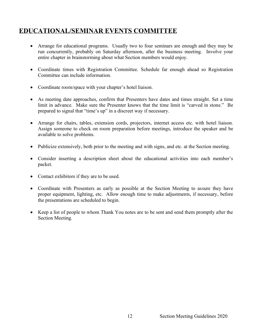### **EDUCATIONAL/SEMINAR EVENTS COMMITTEE**

- Arrange for educational programs. Usually two to four seminars are enough and they may be run concurrently, probably on Saturday afternoon, after the business meeting. Involve your entire chapter in brainstorming about what Section members would enjoy.
- Coordinate times with Registration Committee. Schedule far enough ahead so Registration Committee can include information.
- Coordinate room/space with your chapter's hotel liaison.
- As meeting date approaches, confirm that Presenters have dates and times straight. Set a time limit in advance. Make sure the Presenter knows that the time limit is "carved in stone." Be prepared to signal that "time's up" in a discreet way if necessary.
- Arrange for chairs, tables, extension cords, projectors, internet access etc. with hotel liaison. Assign someone to check on room preparation before meetings, introduce the speaker and be available to solve problems.
- Publicize extensively, both prior to the meeting and with signs, and etc. at the Section meeting.
- Consider inserting a description sheet about the educational activities into each member's packet.
- Contact exhibitors if they are to be used.
- Coordinate with Presenters as early as possible at the Section Meeting to assure they have proper equipment, lighting, etc. Allow enough time to make adjustments, if necessary, before the presentations are scheduled to begin.
- Keep a list of people to whom Thank You notes are to be sent and send them promptly after the Section Meeting.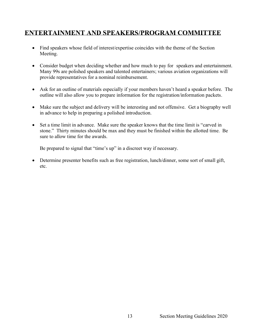### **ENTERTAINMENT AND SPEAKERS/PROGRAM COMMITTEE**

- Find speakers whose field of interest/expertise coincides with the theme of the Section Meeting.
- Consider budget when deciding whether and how much to pay for speakers and entertainment. Many 99s are polished speakers and talented entertainers; various aviation organizations will provide representatives for a nominal reimbursement.
- Ask for an outline of materials especially if your members haven't heard a speaker before. The outline will also allow you to prepare information for the registration/information packets.
- Make sure the subject and delivery will be interesting and not offensive. Get a biography well in advance to help in preparing a polished introduction.
- Set a time limit in advance. Make sure the speaker knows that the time limit is "carved in stone." Thirty minutes should be max and they must be finished within the allotted time. Be sure to allow time for the awards.

Be prepared to signal that "time's up" in a discreet way if necessary.

• Determine presenter benefits such as free registration, lunch/dinner, some sort of small gift, etc.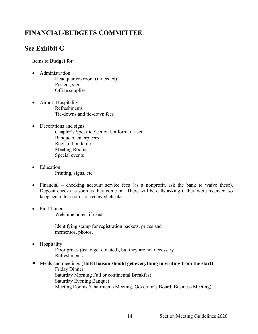### **FINANCIAL/BUDGETS COMMITTEE**

## **See Exhibit G**

Items to **Budget** for:

- Administration Headquarters room (if needed) Posters, signs Office supplies
- Airport Hospitality Refreshments Tie-downs and tie-down fees
- Decorations and signs
	- Chapter's Specific Section Uniform, if used Banquet/Centerpieces Registration table Meeting Rooms Special events
- Education Printing, signs, etc.
- Financial checking account service fees (as a nonprofit, ask the bank to waive these). Deposit checks as soon as they come in. There will be calls asking if they were received, so keep accurate records of received checks.
- First Timers

Welcome notes, if used

Identifying stamp for registration packets, prizes and mementos, photos.

• Hospitality

Door prizes (try to get donated), but they are not necessary Refreshments

• Meals and meetings **(Hotel liaison should get everything in writing from the start)** Friday Dinner Saturday Morning Full or continental Breakfast Saturday Evening Banquet Meeting Rooms (Chairmen's Meeting, Governor's Board, Business Meeting)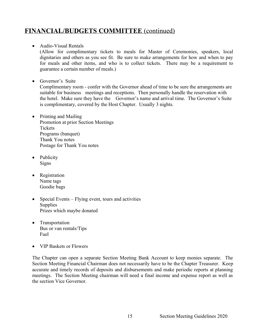### **FINANCIAL/BUDGETS COMMITTEE** (continued)

#### • Audio-Visual Rentals

(Allow for complimentary tickets to meals for Master of Ceremonies, speakers, local dignitaries and others as you see fit. Be sure to make arrangements for how and when to pay for meals and other items, and who is to collect tickets. There may be a requirement to guarantee a certain number of meals.)

• Governor's Suite

 Complimentary room - confer with the Governor ahead of time to be sure the arrangements are suitable for business meetings and receptions. Then personally handle the reservation with the hotel. Make sure they have the Governor's name and arrival time. The Governor's Suite is complimentary, covered by the Host Chapter. Usually 3 nights.

- Printing and Mailing Promotion at prior Section Meetings **Tickets** Programs (banquet) Thank You notes Postage for Thank You notes
- Publicity Signs
- Registration Name tags Goodie bags
- Special Events Flying event, tours and activities **Supplies** Prizes which maybe donated
- Transportation Bus or van rentals/Tips Fuel
- VIP Baskets or Flowers

The Chapter can open a separate Section Meeting Bank Account to keep monies separate. The Section Meeting Financial Chairman does not necessarily have to be the Chapter Treasurer. Keep accurate and timely records of deposits and disbursements and make periodic reports at planning meetings. The Section Meeting chairman will need a final income and expense report as well as the section Vice Governor.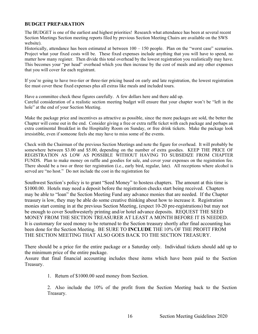#### **BUDGET PREPARATION**

The BUDGET is one of the earliest and highest priorities! Research what attendance has been at several recent Section Meetings Section meeting reports filed by previous Section Meeting Chairs are available on the SWS website).

Historically, attendance has been estimated at between  $100 - 150$  people. Plan on the "worst case" scenarios. Project what your fixed costs will be. These fixed expenses include anything that you will have to spend, no matter how many register. Then divide this total overhead by the lowest registration you realistically may have. This becomes your "per head" overhead which you then increase by the cost of meals and any other expenses that you will cover for each registrant.

If you're going to have two-tier or three-tier pricing based on early and late registration, the lowest registration fee must cover these fixed expenses plus all extras like meals and included tours.

Have a committee check these figures carefully. A few dollars here and there add up. Careful consideration of a realistic section meeting budget will ensure that your chapter won't be "left in the hole" at the end of your Section Meeting.

Make the package price and incentives as attractive as possible, since the more packages are sold, the better the Chapter will come out in the end. Consider giving a free or extra raffle ticket with each package and perhaps an extra continental Breakfast in the Hospitality Room on Sunday, or free drink tickets. Make the package look irresistible, even if someone feels she may have to miss some of the events.

Check with the Chairman of the previous Section Meetings and note the figure for overhead. It will probably be somewhere between \$3.00 and \$5.00, depending on the number of extra goodies. KEEP THE PRICE OF REGISTRATION AS LOW AS POSSIBLE WITHOUT HAVING TO SUBSIDIZE FROM CHAPTER FUNDS. Plan to make money on raffle and goodies for sale, and cover your expenses on the registration fee. There should be a two or three tier registration (i.e., early bird, regular, late). All receptions where alcohol is served are "no host." Do not include the cost in the registration fee

Southwest Section's policy is to grant "Seed Money" to hostess chapters. The amount at this time is \$1000.00. Hotels may need a deposit before the registration checks start being received. Chapters may be able to "loan" the Section Meeting Fund any advance monies that are needed. If the Chapter treasury is low, they may be able do some creative thinking about how to increase it. Registration monies start coming in at the previous Section Meeting, (expect 10-20 pre-registrations) but may not be enough to cover Southwesterly printing and/or hotel advance deposits. REQUEST THE SEED MONEY FROM THE SECTION TREASURER AT LEAST A MONTH BEFORE IT IS NEEDED. It is customary for seed money to be returned to the Section treasury shortly after final accounting has been done for the Section Meeting. BE SURE TO **INCLUDE** THE 10% OF THE PROFIT FROM THE SECTION MEETING THAT ALSO GOES BACK TO THE SECTION TREASURY.

There should be a price for the entire package or a Saturday only. Individual tickets should add up to the minimum price of the entire package.

Assure that final financial accounting includes these items which have been paid to the Section Treasury.

1. Return of \$1000.00 seed money from Section.

2. Also include the 10% of the profit from the Section Meeting back to the Section Treasury.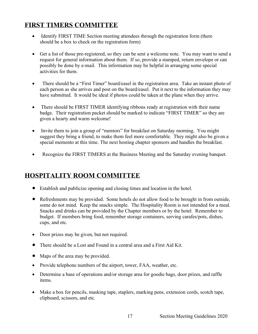## **FIRST TIMERS COMMITTEE**

- Identify FIRST TIME Section meeting attendees through the registration form (there should be a box to check on the registration form)
- Get a list of those pre-registered, so they can be sent a welcome note. You may want to send a request for general information about them. If so, provide a stamped, return envelope or can possibly be done by e-mail. This information may be helpful in arranging some special activities for them.
- There should be a "First Timer" board/easel in the registration area. Take an instant photo of each person as she arrives and post on the board/easel. Put it next to the information they may have submitted. It would be ideal if photos could be taken at the plane when they arrive.
- There should be FIRST TIMER identifying ribbons ready at registration with their name badge. Their registration packet should be marked to indicate "FIRST TIMER" so they are given a hearty and warm welcome!
- Invite them to join a group of "mentors" for breakfast on Saturday morning. You might suggest they bring a friend, to make them feel more comfortable. They might also be given a special memento at this time. The next hosting chapter sponsors and handles the breakfast.
- Recognize the FIRST TIMERS at the Business Meeting and the Saturday evening banquet.

## **HOSPITALITY ROOM COMMITTEE**

- Establish and publicize opening and closing times and location in the hotel.
- Refreshments may be provided. Some hotels do not allow food to be brought in from outside, some do not mind. Keep the snacks simple. The Hospitality Room is not intended for a meal. Snacks and drinks can be provided by the Chapter members or by the hotel. Remember to budget. If members bring food, remember storage containers, serving carafes/pots, dishes, cups, and etc.
- Door prizes may be given, but not required.
- There should be a Lost and Found in a central area and a First Aid Kit.
- Maps of the area may be provided.
- Provide telephone numbers of the airport, tower, FAA, weather, etc.
- Determine a base of operations and/or storage area for goodie bags, door prizes, and raffle items.
- Make a box for pencils, masking tape, staplers, marking pens, extension cords, scotch tape, clipboard, scissors, and etc.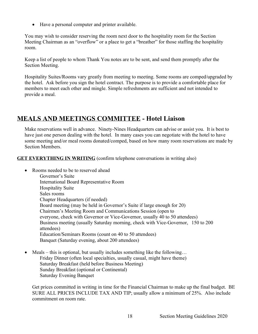• Have a personal computer and printer available.

You may wish to consider reserving the room next door to the hospitality room for the Section Meeting Chairman as an "overflow" or a place to get a "breather" for those staffing the hospitality room.

Keep a list of people to whom Thank You notes are to be sent, and send them promptly after the Section Meeting.

Hospitality Suites/Rooms vary greatly from meeting to meeting. Some rooms are comped/upgraded by the hotel. Ask before you sign the hotel contract. The purpose is to provide a comfortable place for members to meet each other and mingle. Simple refreshments are sufficient and not intended to provide a meal.

## **MEALS AND MEETINGS COMMITTEE - Hotel Liaison**

Make reservations well in advance. Ninety-Nines Headquarters can advise or assist you. It is best to have just one person dealing with the hotel. In many cases you can negotiate with the hotel to have some meeting and/or meal rooms donated/comped, based on how many room reservations are made by Section Members.

**GET EVERYTHING IN WRITING** (confirm telephone conversations in writing also)

- Rooms needed to be to reserved ahead
	- Governor's Suite International Board Representative Room Hospitality Suite Sales rooms Chapter Headquarters (if needed) Board meeting (may be held in Governor's Suite if large enough for 20) Chairmen's Meeting Room and Communications Session (open to everyone, check with Governor or Vice-Governor, usually 40 to 50 attendees) Business meeting (usually Saturday morning, check with Vice-Governor, 150 to 200 attendees) Education/Seminars Rooms (count on 40 to 50 attendees) Banquet (Saturday evening, about 200 attendees)
- Meals this is optional, but usually includes something like the following... Friday Dinner (often local specialties, usually casual, might have theme) Saturday Breakfast (held before Business Meeting) Sunday Breakfast (optional or Continental) Saturday Evening Banquet

Get prices committed in writing in time for the Financial Chairman to make up the final budget. BE SURE ALL PRICES INCLUDE TAX AND TIP; usually allow a minimum of 25%. Also include commitment on room rate.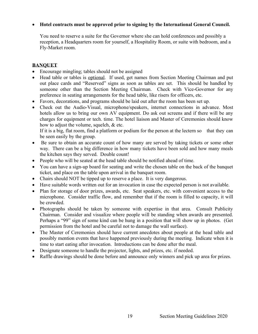#### • **Hotel contracts must be approved prior to signing by the International General Council.**

You need to reserve a suite for the Governor where she can hold conferences and possibly a reception, a Headquarters room for yourself, a Hospitality Room, or suite with bedroom, and a Fly-Market room.

#### **BANQUET**

- Encourage mingling; tables should not be assigned
- Head table or tables is optional. If used, get names from Section Meeting Chairman and put out place cards and "Reserved" signs as soon as tables are set. This should be handled by someone other than the Section Meeting Chairman. Check with Vice-Governor for any preference in seating arrangements for the head table, like risers for officers, etc.
- Favors, decorations, and programs should be laid out after the room has been set up.
- Check out the Audio-Visual, microphone/speakers, internet connections in advance. Most hotels allow us to bring our own AV equipment. Do ask out screens and if there will be any charges for equipment or tech. time. The hotel liaison and Master of Ceremonies should know how to adjust the volume, squelch, & etc.

If it is a big, flat room, find a platform or podium for the person at the lectern so that they can be seen easily by the group.

- Be sure to obtain an accurate count of how many are served by taking tickets or some other way. There can be a big difference in how many tickets have been sold and how many meals the kitchen says they served. Double count!
- People who will be seated at the head table should be notified ahead of time.
- You can have a sign-up board for seating and write the chosen table on the back of the banquet ticket, and place on the table upon arrival in the banquet room.
- Chairs should NOT be tipped up to reserve a place. It is very dangerous.
- Have suitable words written out for an invocation in case the expected person is not available.
- Plan for storage of door prizes, awards, etc. Seat speakers, etc. with convenient access to the microphone. Consider traffic flow, and remember that if the room is filled to capacity, it will be crowded.
- Photographs should be taken by someone with expertise in that area. Consult Publicity Chairman. Consider and visualize where people will be standing when awards are presented. Perhaps a "99" sign of some kind can be hung in a position that will show up in photos. (Get permission from the hotel and be careful not to damage the wall surface).
- The Master of Ceremonies should have current anecdotes about people at the head table and possibly mention events that have happened previously during the meeting. Indicate when it is time to start eating after invocation. Introductions can be done after the meal.
- Designate someone to handle the projector, lights, and prizes, etc. if needed.
- Raffle drawings should be done before and announce only winners and pick up area for prizes.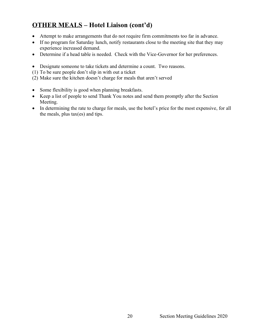## **OTHER MEALS – Hotel Liaison (cont'd)**

- Attempt to make arrangements that do not require firm commitments too far in advance.
- If no program for Saturday lunch, notify restaurants close to the meeting site that they may experience increased demand.
- Determine if a head table is needed. Check with the Vice-Governor for her preferences.
- Designate someone to take tickets and determine a count. Two reasons.
- (1) To be sure people don't slip in with out a ticket
- (2) Make sure the kitchen doesn't charge for meals that aren't served
- Some flexibility is good when planning breakfasts.
- Keep a list of people to send Thank You notes and send them promptly after the Section Meeting.
- In determining the rate to charge for meals, use the hotel's price for the most expensive, for all the meals, plus tax(es) and tips.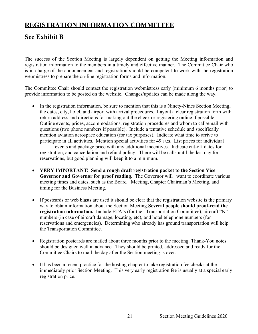## **REGISTRATION INFORMATION COMMITTEE**

## **See Exhibit B**

The success of the Section Meeting is largely dependent on getting the Meeting information and registration information to the members in a timely and effective manner. The Committee Chair who is in charge of the announcement and registration should be competent to work with the registration webmistress to prepare the on-line registration forms and information.

The Committee Chair should contact the registration webmistress early (minimum 6 months prior) to provide information to be posted on the website. Changes/updates can be made along the way.

• In the registration information, be sure to mention that this is a Ninety-Nines Section Meeting, the dates, city, hotel, and airport with arrival procedures. Layout a clear registration form with return address and directions for making out the check or registering online if possible. Outline events, prices, accommodations, registration procedures and whom to call/email with questions (two phone numbers if possible). Include a tentative schedule and specifically mention aviation aerospace education (for tax purposes). Indicate what time to arrive to participate in all activities. Mention special activities for 49 1/2s. List prices for individual

events and package price with any additional incentives. Indicate cut-off dates for registration, and cancellation and refund policy. There will be calls until the last day for reservations, but good planning will keep it to a minimum.

- **VERY IMPORTANT! Send a rough draft registration packet to the Section Vice Governor and Governor for proof reading.** The Governor will want to coordinate various meeting times and dates, such as the Board Meeting, Chapter Chairman's Meeting, and timing for the Business Meeting.
- If postcards or web blasts are used it should be clear that the registration website is the primary way to obtain information about the Section Meeting.**Several people should proof-read the registration information.** Include ETA's (for the Transportation Committee), aircraft "N" numbers (in case of aircraft damage, locating, etc), and hotel telephone numbers (for reservations and emergencies). Determining who already has ground transportation will help the Transportation Committee.
- Registration postcards are mailed about three months prior to the meeting. Thank-You notes should be designed well in advance. They should be printed, addressed and ready for the Committee Chairs to mail the day after the Section meeting is over.
- It has been a recent practice for the hosting chapter to take registration fee checks at the immediately prior Section Meeting. This very early registration fee is usually at a special early registration price.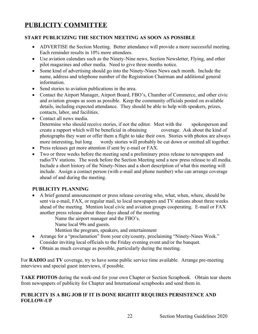## **PUBLICITY COMMITTEE**

#### **START PUBLICIZING THE SECTION MEETING AS SOON AS POSSIBLE**

- ADVERTISE the Section Meeting. Better attendance will provide a more successful meeting. Each reminder results in 10% more attendees.
- Use aviation calendars such as the Ninety-Nine news, Section Newsletter, Flying, and other pilot magazines and other media. Need to give three months notice.
- Some kind of advertising should go into the Ninety-Nines News each month. Include the name, address and telephone number of the Registration Chairman and additional general information.
- Send stories to aviation publications in the area.
- Contact the Airport Manager, Airport Board, FBO's, Chamber of Commerce, and other civic and aviation groups as soon as possible. Keep the community officials posted on available details, including expected attendance. They should be able to help with speakers, prizes, contacts, labor, and facilities.
- Contact all news media. Determine who should receive stories, if not the editor. Meet with the spokesperson and create a rapport which will be beneficial in obtaining coverage. Ask about the kind of photographs they want or offer them a flight to take their own. Stories with photos are always more interesting, but long wordy stories will probably be cut down or omitted all together.
- Press releases get more attention if sent by e-mail or FAX.
- Two or three weeks before the meeting send a preliminary press release to newspapers and radio/TV stations. The week before the Section Meeting send a new press release to all media. Include a short history of the Ninety-Nines and a short description of what this meeting will include. Assign a contact person (with e-mail and phone number) who can arrange coverage ahead of and during the meeting.

#### **PUBLICITY PLANNING**

• A brief general announcement or press release covering who, what, when, where, should be sent via e-mail, FAX, or regular mail, to local newspapers and TV stations about three weeks ahead of the meeting. Mention local civic and aviation groups cooperating. E-mail or FAX another press release about three days ahead of the meeting

Name the airport manager and the FBO's.

Name local 99s and guests.

Mention the program, speakers, and entertainment

- Arrange for a "proclamation" from your city/county, proclaiming "Ninety-Nines Week." Consider inviting local officials to the Friday evening event and/or the banquet.
- Obtain as much coverage as possible, particularly during the meeting.

For **RADIO** and **TV** coverage, try to have some public service time available. Arrange pre-meeting interviews and special guest interviews, if possible.

**TAKE PHOTOS** during the week-end for your own Chapter or Section Scrapbook. Obtain tear sheets from newspapers of publicity for Chapter and International scrapbooks and send them in.

#### **PUBLICITY IS A BIG JOB IF IT IS DONE RIGHTIT REQUIRES PERSISTENCE AND FOLLOW-UP**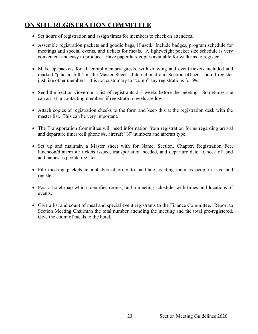## **ON SITE REGISTRATION COMMITTEE**

- Set hours of registration and assign times for members to check-in attendees.
- Assemble registration packets and goodie bags, if used. Include badges, program schedule for meetings and special events, and tickets for meals. A lightweight pocket size schedule is very convenient and easy to produce. Have paper hardcopies available for walk-ins to register.
- Make up packets for all complimentary guests, with drawing and event tickets included and marked "paid in full" on the Master Sheet. International and Section officers should register just like other members. It is not customary to "comp" any registrations for 99s.
- Send the Section Governor a list of registrants 2-3 weeks before the meeting. Sometimes she can assist in contacting members if registration levels are low.
- Attach copies of registration checks to the form and keep this at the registration desk with the master list. This can be very important.
- The Transportation Committee will need information from registration forms regarding arrival and departure times/cell phone #s, aircraft "N" numbers and aircraft type.
- Set up and maintain a Master sheet with for Name, Section, Chapter, Registration Fee, luncheon/dinner/tour tickets issued, transportation needed, and departure date. Check off and add names as people register.
- File meeting packets in alphabetical order to facilitate locating them as people arrive and register.
- Post a hotel map which identifies rooms, and a meeting schedule, with times and locations of events.
- Give a list and count of meal and special event registrants to the Finance Committee. Report to Section Meeting Chairman the total number attending the meeting and the total pre-registered. Give the count of meals to the hotel.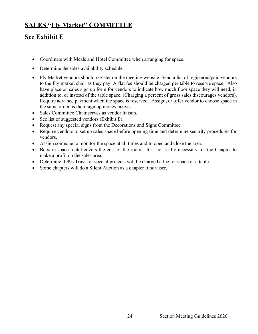## **SALES "Fly Market" COMMITTEE**

## **See Exhibit E**

- Coordinate with Meals and Hotel Committee when arranging for space.
- Determine the sales availability schedule.
- Fly Market vendors should register on the meeting website. Send a list of registered/paid vendors to the Fly market chair as they pay. A flat fee should be charged per table to reserve space. Also have place on sales sign up form for vendors to indicate how much floor space they will need, in addition to, or instead of the table space. (Charging a percent of gross sales discourages vendors). Require advance payment when the space is reserved. Assign, or offer vendor to choose space in the same order as their sign up money arrives.
- Sales Committee Chair serves as vendor liaison.
- See list of suggested vendors (Exhibit E).
- Request any special signs from the Decorations and Signs Committee.
- Require vendors to set up sales space before opening time and determine security procedures for vendors.
- Assign someone to monitor the space at all times and to open and close the area.
- Be sure space rental covers the cost of the room. It is not really necessary for the Chapter to make a profit on the sales area.
- Determine if 99s Trusts or special projects will be charged a fee for space or a table
- Some chapters will do a Silent Auction as a chapter fundraiser.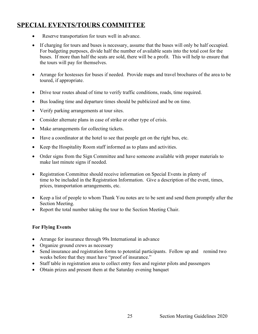## **SPECIAL EVENTS/TOURS COMMITTEE**

- Reserve transportation for tours well in advance.
- If charging for tours and buses is necessary, assume that the buses will only be half occupied. For budgeting purposes, divide half the number of available seats into the total cost for the buses. If more than half the seats are sold, there will be a profit. This will help to ensure that the tours will pay for themselves.
- Arrange for hostesses for buses if needed. Provide maps and travel brochures of the area to be toured, if appropriate.
- Drive tour routes ahead of time to verify traffic conditions, roads, time required.
- Bus loading time and departure times should be publicized and be on time.
- Verify parking arrangements at tour sites.
- Consider alternate plans in case of strike or other type of crisis.
- Make arrangements for collecting tickets.
- Have a coordinator at the hotel to see that people get on the right bus, etc.
- Keep the Hospitality Room staff informed as to plans and activities.
- Order signs from the Sign Committee and have someone available with proper materials to make last minute signs if needed.
- Registration Committee should receive information on Special Events in plenty of time to be included in the Registration Information. Give a description of the event, times, prices, transportation arrangements, etc.
- Keep a list of people to whom Thank You notes are to be sent and send them promptly after the Section Meeting.
- Report the total number taking the tour to the Section Meeting Chair.

#### **For Flying Events**

- Arrange for insurance through 99s International in advance
- Organize ground crews as necessary
- Send insurance and registration forms to potential participants. Follow up and remind two weeks before that they must have "proof of insurance."
- Staff table in registration area to collect entry fees and register pilots and passengers
- Obtain prizes and present them at the Saturday evening banquet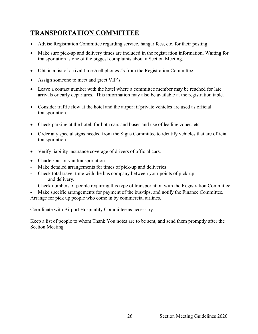## **TRANSPORTATION COMMITTEE**

- Advise Registration Committee regarding service, hangar fees, etc. for their posting.
- Make sure pick-up and delivery times are included in the registration information. Waiting for transportation is one of the biggest complaints about a Section Meeting.
- Obtain a list of arrival times/cell phones #s from the Registration Committee.
- Assign someone to meet and greet VIP's.
- Leave a contact number with the hotel where a committee member may be reached for late arrivals or early departures. This information may also be available at the registration table.
- Consider traffic flow at the hotel and the airport if private vehicles are used as official transportation.
- Check parking at the hotel, for both cars and buses and use of leading zones, etc.
- Order any special signs needed from the Signs Committee to identify vehicles that are official transportation.
- Verify liability insurance coverage of drivers of official cars.
- Charter/bus or van transportation:
- Make detailed arrangements for times of pick-up and deliveries
- Check total travel time with the bus company between your points of pick-up and delivery.
- Check numbers of people requiring this type of transportation with the Registration Committee.
- Make specific arrangements for payment of the bus/tips, and notify the Finance Committee. Arrange for pick up people who come in by commercial airlines.

Coordinate with Airport Hospitality Committee as necessary.

Keep a list of people to whom Thank You notes are to be sent, and send them promptly after the Section Meeting.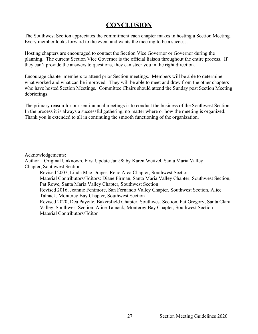### **CONCLUSION**

The Southwest Section appreciates the commitment each chapter makes in hosting a Section Meeting. Every member looks forward to the event and wants the meeting to be a success.

Hosting chapters are encouraged to contact the Section Vice Governor or Governor during the planning. The current Section Vice Governor is the official liaison throughout the entire process. If they can't provide the answers to questions, they can steer you in the right direction.

Encourage chapter members to attend prior Section meetings. Members will be able to determine what worked and what can be improved. They will be able to meet and draw from the other chapters who have hosted Section Meetings. Committee Chairs should attend the Sunday post Section Meeting debriefings.

The primary reason for our semi-annual meetings is to conduct the business of the Southwest Section. In the process it is always a successful gathering, no matter where or how the meeting is organized. Thank you is extended to all in continuing the smooth functioning of the organization.

Acknowledgements:

Author – Original Unknown, First Update Jan-98 by Karen Weitzel, Santa Maria Valley Chapter, Southwest Section

Revised 2007, Linda Mae Draper, Reno Area Chapter, Southwest Section Material Contributors/Editors: Diane Pirman, Santa Maria Valley Chapter, Southwest Section, Pat Rowe, Santa Maria Valley Chapter, Southwest Section Revised 2016, Jeannie Fenimore, San Fernando Valley Chapter, Southwest Section, Alice Talnack, Monterey Bay Chapter, Southwest Section Revised 2020, Dea Payette, Bakersfield Chapter, Southwest Section, Pat Gregory, Santa Clara Valley, Southwest Section, Alice Talnack, Monterey Bay Chapter, Southwest Section Material Contributors/Editor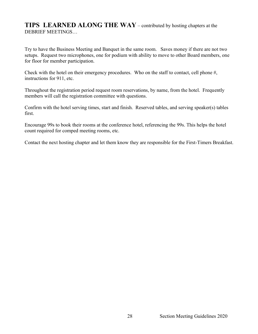### **TIPS LEARNED ALONG THE WAY** – contributed by hosting chapters at the DEBRIEF MEETINGS…

Try to have the Business Meeting and Banquet in the same room. Saves money if there are not two setups. Request two microphones, one for podium with ability to move to other Board members, one for floor for member participation.

Check with the hotel on their emergency procedures. Who on the staff to contact, cell phone #, instructions for 911, etc.

Throughout the registration period request room reservations, by name, from the hotel. Frequently members will call the registration committee with questions.

Confirm with the hotel serving times, start and finish. Reserved tables, and serving speaker(s) tables first.

Encourage 99s to book their rooms at the conference hotel, referencing the 99s. This helps the hotel count required for comped meeting rooms, etc.

Contact the next hosting chapter and let them know they are responsible for the First-Timers Breakfast.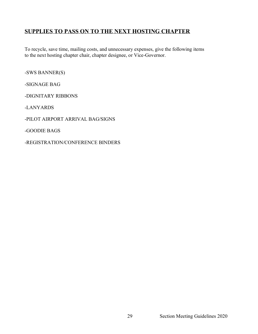### **SUPPLIES TO PASS ON TO THE NEXT HOSTING CHAPTER**

To recycle, save time, mailing costs, and unnecessary expenses, give the following items to the next hosting chapter chair, chapter designee, or Vice-Governor.

-SWS BANNER(S)

-SIGNAGE BAG

-DIGNITARY RIBBONS

-LANYARDS

-PILOT AIRPORT ARRIVAL BAG/SIGNS

-GOODIE BAGS

-REGISTRATION/CONFERENCE BINDERS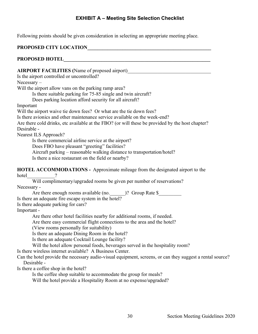#### **EXHIBIT A – Meeting Site Selection Checklist**

Following points should be given consideration in selecting an appropriate meeting place.

#### PROPOSED CITY LOCATION

#### **PROPOSED HOTEL\_\_\_\_\_\_\_\_\_\_\_\_\_\_\_\_\_\_\_\_\_\_\_\_\_\_\_\_\_\_\_\_\_\_\_\_\_\_\_\_\_\_\_\_\_\_\_\_\_\_\_\_\_\_\_\_\_\_**

**AIRPORT FACILITIES (**Name of proposed airport)\_\_\_\_\_\_\_\_\_\_\_\_\_\_\_\_\_\_\_\_\_\_\_\_\_\_\_\_\_\_\_\_\_ Is the airport controlled or uncontrolled? Necessary – Will the airport allow vans on the parking ramp area? Is there suitable parking for 75-85 single and twin aircraft? Does parking location afford security for all aircraft? Important Will the airport waive tie down fees? Or what are the tie down fees? Is there avionics and other maintenance service available on the week-end? Are there cold drinks, etc available at the FBO? (or will these be provided by the host chapter? Desirable - Nearest ILS Approach? Is there commercial airline service at the airport? Does FBO have pleasant "greeting" facilities? Aircraft parking – reasonable walking distance to transportation/hotel? Is there a nice restaurant on the field or nearby? **HOTEL ACCOMMODATIONS -** Approximate mileage from the designated airport to the hotel Will complimentary/upgraded rooms be given per number of reservations? Necessary - Are there enough rooms available (no. \_\_\_\_\_\_\_)? Group Rate \$\_\_\_\_\_\_\_\_\_\_\_\_\_\_\_\_\_\_\_\_ Is there an adequate fire escape system in the hotel? Is there adequate parking for cars? Important - Are there other hotel facilities nearby for additional rooms, if needed. Are there easy commercial flight connections to the area and the hotel? (View rooms personally for suitability) Is there an adequate Dining Room in the hotel? Is there an adequate Cocktail Lounge facility? Will the hotel allow personal foods, beverages served in the hospitality room? Is there wireless internet available? A Business Center. Can the hotel provide the necessary audio-visual equipment, screens, or can they suggest a rental source? Desirable - Is there a coffee shop in the hotel? Is the coffee shop suitable to accommodate the group for meals? Will the hotel provide a Hospitality Room at no expense/upgraded?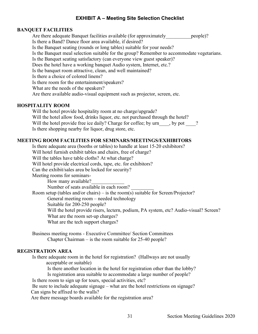#### **EXHIBIT A – Meeting Site Selection Checklist**

#### **BANQUET FACILITIES**

Are there adequate Banquet facilities available (for approximately people)? Is there a Band? Dance floor area available, if desired? Is the Banquet seating (rounds or long tables) suitable for your needs? Is the Banquet meal selection suitable for the group? Remember to accommodate vegetarians. Is the Banquet seating satisfactory (can everyone view guest speaker)? Does the hotel have a working banquet Audio system, Internet, etc.? Is the banquet room attractive, clean, and well maintained? Is there a choice of colored linens? Is there room for the entertainment/speakers? What are the needs of the speakers? Are there available audio-visual equipment such as projector, screen, etc.

#### **HOSPITALITY ROOM**

Will the hotel provide hospitality room at no charge/upgrade? Will the hotel allow food, drinks liquor, etc. not purchased through the hotel? Will the hotel provide free ice daily? Charge for coffee; by urn \_\_\_, by pot \_\_\_\_? Is there shopping nearby for liquor, drug store, etc.

#### **MEETING ROOM FACILITIES FOR SEMINARS/MEETINGS/EXHIBITORS**

Is there adequate area (booths or tables) to handle at least 15-20 exhibitors? Will hotel furnish exhibit tables and chairs, free of charge? Will the tables have table cloths? At what charge? Will hotel provide electrical cords, tape, etc. for exhibitors? Can the exhibit/sales area be locked for security? Meeting rooms for seminars-How many available? Number of seats available in each room? Room setup (tables and/or chairs) – is the room(s) suitable for Screen/Projector? General meeting room – needed technology Suitable for 200-250 people? Will the hotel provide risers, lectern, podium, PA system, etc? Audio-visual? Screen? What are the room set-up charges? What are the tech support charges?

Business meeting rooms - Executive Committee/ Section Committees Chapter Chairman – is the room suitable for 25-40 people?

#### **REGISTRATION AREA**

Is there adequate room in the hotel for registration? (Hallways are not usually acceptable or suitable)

Is there another location in the hotel for registration other than the lobby?

Is registration area suitable to accommodate a large number of people?

Is there room to sign up for tours, special activities, etc?

 Be sure to include adequate signage – what are the hotel restrictions on signage? Can signs be affixed to the walls?

Are there message boards available for the registration area?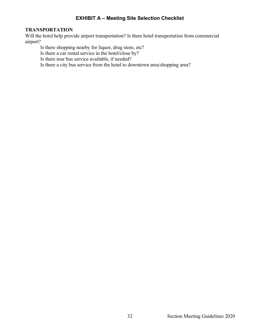#### **EXHIBIT A – Meeting Site Selection Checklist**

#### **TRANSPORTATION**

Will the hotel help provide airport transportation? Is there hotel transportation from commercial airport?

Is there shopping nearby for liquor, drug store, etc?

Is there a car rental service in the hotel/close by?

Is there tour bus service available, if needed?

Is there a city bus service from the hotel to downtown area/shopping area?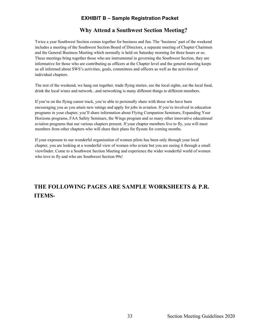#### **Why Attend a Southwest Section Meeting?**

Twice a year Southwest Section comes together for business and fun. The 'business' part of the weekend includes a meeting of the Southwest Section Board of Directors, a separate meeting of Chapter Chairmen and the General Business Meeting which normally is held on Saturday morning for three hours or so. These meetings bring together those who are instrumental in governing the Southwest Section, they are informative for those who are contributing as officers at the Chapter level and the general meeting keeps us all informed about SWS's activities, goals, committees and officers as well as the activities of individual chapters.

The rest of the weekend, we hang out together, trade flying stories, see the local sights, eat the local food, drink the local wines and network...and networking is many different things to different members.

If you're on the flying career track, you're able to personally share with those who have been encouraging you as you attain new ratings and apply for jobs in aviation. If you're involved in education programs in your chapter, you'll share information about Flying Companion Seminars, Expanding Your Horizons programs, FAA Safety Seminars, the Wings program and so many other innovative educational aviation programs that our various chapters present. If your chapter members live to fly, you will meet members from other chapters who will share their plans for flyouts for coming months.

If your exposure to our wonderful organization of women pilots has been only through your local chapter, you are looking at a wonderful view of women who aviate but you are seeing it through a small viewfinder. Come to a Southwest Section Meeting and experience the wider wonderful world of women who love to fly and who are Southwest Section 99s!

## **THE FOLLOWING PAGES ARE SAMPLE WORKSHEETS & P.R. ITEMS-**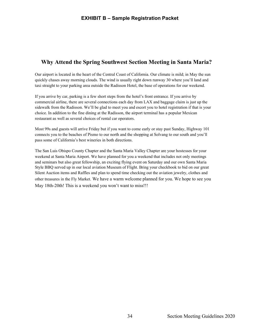### **Why Attend the Spring Southwest Section Meeting in Santa Maria?**

Our airport is located in the heart of the Central Coast of California. Our climate is mild; in May the sun quickly chases away morning clouds. The wind is usually right down runway 30 where you'll land and taxi straight to your parking area outside the Radisson Hotel, the base of operations for our weekend.

If you arrive by car, parking is a few short steps from the hotel's front entrance. If you arrive by commercial airline, there are several connections each day from LAX and baggage claim is just up the sidewalk from the Radisson. We'll be glad to meet you and escort you to hotel registration if that is your choice. In addition to the fine dining at the Radisson, the airport terminal has a popular Mexican restaurant as well as several choices of rental car operators.

Most 99s and guests will arrive Friday but if you want to come early or stay past Sunday, Highway 101 connects you to the beaches of Pismo to our north and the shopping at Solvang to our south and you'll pass some of California's best wineries in both directions.

The San Luis Obispo County Chapter and the Santa Maria Valley Chapter are your hostesses for your weekend at Santa Maria Airport. We have planned for you a weekend that includes not only meetings and seminars but also great fellowship, an exciting flying event on Saturday and our own Santa Maria Style BBQ served up in our local aviation Museum of Flight. Bring your checkbook to bid on our great Silent Auction items and Raffles and plan to spend time checking out the aviation jewelry, clothes and other treasures in the Fly Market. We have a warm welcome planned for you. We hope to see you May 18th-20th! This is a weekend you won't want to miss!!!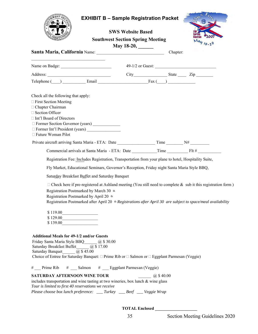|                                                                                                                                         |                                                                                                      | <b>EXHIBIT B - Sample Registration Packet</b>                       |                |          |                                                                                                                     |
|-----------------------------------------------------------------------------------------------------------------------------------------|------------------------------------------------------------------------------------------------------|---------------------------------------------------------------------|----------------|----------|---------------------------------------------------------------------------------------------------------------------|
|                                                                                                                                         |                                                                                                      | <b>SWS Website Based</b>                                            |                |          |                                                                                                                     |
|                                                                                                                                         |                                                                                                      | <b>Southwest Section Spring Meeting</b><br>May 18-20, $\frac{1}{2}$ |                |          |                                                                                                                     |
|                                                                                                                                         |                                                                                                      |                                                                     |                | Chapter: |                                                                                                                     |
|                                                                                                                                         |                                                                                                      |                                                                     |                |          |                                                                                                                     |
|                                                                                                                                         |                                                                                                      |                                                                     |                |          | $City$ $State$ $Zip$ $Zip$                                                                                          |
|                                                                                                                                         |                                                                                                      |                                                                     |                |          |                                                                                                                     |
|                                                                                                                                         |                                                                                                      |                                                                     |                |          |                                                                                                                     |
| Check all the following that apply:<br>$\Box$ First Section Meeting                                                                     |                                                                                                      |                                                                     |                |          |                                                                                                                     |
| □ Chapter Chairman                                                                                                                      |                                                                                                      |                                                                     |                |          |                                                                                                                     |
| □ Section Officer                                                                                                                       |                                                                                                      |                                                                     |                |          |                                                                                                                     |
| □ Int'l Board of Directors                                                                                                              |                                                                                                      |                                                                     |                |          |                                                                                                                     |
| Former Section Governor (years)<br>$\Box$ Former Int'l President (years) $\Box$                                                         |                                                                                                      |                                                                     |                |          |                                                                                                                     |
| □ Future Woman Pilot                                                                                                                    |                                                                                                      |                                                                     |                |          |                                                                                                                     |
|                                                                                                                                         |                                                                                                      |                                                                     |                |          |                                                                                                                     |
|                                                                                                                                         |                                                                                                      |                                                                     |                |          |                                                                                                                     |
|                                                                                                                                         | Registration Fee: Includes Registration, Transportation from your plane to hotel, Hospitality Suite, |                                                                     |                |          |                                                                                                                     |
|                                                                                                                                         | Fly Market, Educational Seminars, Governor's Reception, Friday night Santa Maria Style BBQ,          |                                                                     |                |          |                                                                                                                     |
|                                                                                                                                         | Saturday Breakfast Buffet and Saturday Banquet                                                       |                                                                     |                |          |                                                                                                                     |
|                                                                                                                                         |                                                                                                      |                                                                     |                |          | $\Box$ Check here if pre-registered at Ashland meeting (You still need to complete & sub it this registration form) |
|                                                                                                                                         | Registration Postmarked by March 30 th                                                               |                                                                     |                |          |                                                                                                                     |
|                                                                                                                                         | Registration Postmarked by April 20 th                                                               |                                                                     |                |          |                                                                                                                     |
|                                                                                                                                         |                                                                                                      |                                                                     |                |          | Registration Postmarked after April 20 $\#$ Registrations after April 30 are subject to space/meal availability     |
| \$119.00                                                                                                                                |                                                                                                      |                                                                     |                |          |                                                                                                                     |
| \$129.00                                                                                                                                |                                                                                                      |                                                                     |                |          |                                                                                                                     |
| \$139.00                                                                                                                                |                                                                                                      |                                                                     |                |          |                                                                                                                     |
|                                                                                                                                         |                                                                                                      |                                                                     |                |          |                                                                                                                     |
| <b>Additional Meals for 49-1/2 and/or Guests</b>                                                                                        |                                                                                                      |                                                                     |                |          |                                                                                                                     |
| Friday Santa Maria Style BBQ ______ @ \$30.00<br>Saturday Breakfast Buffet_______ @ \$17.00                                             |                                                                                                      |                                                                     |                |          |                                                                                                                     |
| Saturday Banquet <i>(a)</i> \$45.00                                                                                                     |                                                                                                      |                                                                     |                |          |                                                                                                                     |
| Choice of Entree for Saturday Banquet: $\Box$ Prime Rib or $\Box$ Salmon or $\Box$ Eggplant Parmesan (Veggie)                           |                                                                                                      |                                                                     |                |          |                                                                                                                     |
| # Prime Rib # Salmon # Eggplant Parmesan (Veggie)                                                                                       |                                                                                                      |                                                                     |                |          |                                                                                                                     |
| SATURDAY AFTERNOON WINE TOUR                                                                                                            |                                                                                                      |                                                                     | $(a)$ \$ 40.00 |          |                                                                                                                     |
| includes transportation and wine tasting at two wineries, box lunch & wine glass<br>Tour is limited to first 40 reservations we receive |                                                                                                      |                                                                     |                |          |                                                                                                                     |
| Please choose box lunch preference: ___ Turkey ___ Beef ___ Veggie Wrap                                                                 |                                                                                                      |                                                                     |                |          |                                                                                                                     |

 **TOTAL Enclosed \_\_\_\_\_\_\_\_\_\_\_\_\_\_\_\_\_\_\_\_**

à. -والمنابذة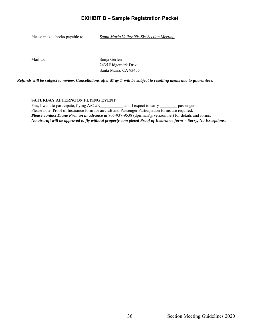Please make checks payable to: *Santa Maria Valley 99s SW Section Meeting*

Mail to: Sonja Gerfen 2435 Ridgemark Drive Santa Maria, CA 93455

*Refunds will be subject to review. Cancellations after M ay 1 will be subject to reselling meals due to guarantees.*

#### **SATURDAY AFTERNOON FLYING EVENT**

Yes, I want to participate, flying A/C #N and I expect to carry passengers Please note: Proof of Insurance form for aircraft and Passenger Participation forms are required. *Please contact Diane Pirm an in advance at* 805-937-9538 (dpirman@ verizon.net) for details and forms. *No aircraft will be approved to fly without properly com pleted Proof of Insurance form - Sorry, No Exceptions.*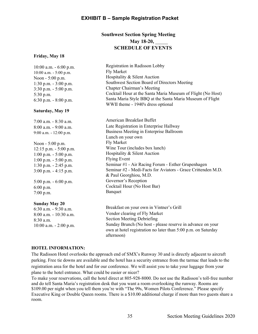#### **Southwest Section Spring Meeting May 18-20,** \_\_\_\_\_ **SCHEDULE OF EVENTS**

#### **Friday, May 18**

| $10:00$ a.m. $-6:00$ p.m.<br>10:00 a.m. - 5:00 p.m.<br>Noon - 5:00 p.m.<br>1:30 p.m. $-3:00$ p.m.<br>$3:30$ p.m. $-5:00$ p.m.<br>$5:30$ p.m.<br>6:30 p.m. $-8:00$ p.m.<br>Saturday, May 19 | Registration in Radisson Lobby<br>Fly Market<br>Hospitality & Silent Auction<br>Southwest Section Board of Directors Meeting<br>Chapter Chairman's Meeting<br>Cocktail Hour at the Santa Maria Museum of Flight (No Host)<br>Santa Maria Style BBQ at the Santa Maria Museum of Flight<br>WWII theme - 1940's dress optional |
|--------------------------------------------------------------------------------------------------------------------------------------------------------------------------------------------|------------------------------------------------------------------------------------------------------------------------------------------------------------------------------------------------------------------------------------------------------------------------------------------------------------------------------|
|                                                                                                                                                                                            |                                                                                                                                                                                                                                                                                                                              |
| $7:00$ a.m. $-8:30$ a.m.                                                                                                                                                                   | American Breakfast Buffet                                                                                                                                                                                                                                                                                                    |
| $8:00$ a.m. - 9:00 a.m.                                                                                                                                                                    | Late Registration in Enterprise Hallway                                                                                                                                                                                                                                                                                      |
| 9:00 a.m. - 12:00 p.m.                                                                                                                                                                     | Business Meeting in Enterprise Ballroom                                                                                                                                                                                                                                                                                      |
|                                                                                                                                                                                            | Lunch on your own                                                                                                                                                                                                                                                                                                            |
| Noon - 5:00 p.m.                                                                                                                                                                           | Fly Market                                                                                                                                                                                                                                                                                                                   |
| $12:15$ p.m. $-5:00$ p.m.                                                                                                                                                                  | Wine Tour (includes box lunch)                                                                                                                                                                                                                                                                                               |
| $1:00$ p.m. $-5:00$ p.m.                                                                                                                                                                   | Hospitality & Silent Auction                                                                                                                                                                                                                                                                                                 |
| $1:00$ p.m. $-5:00$ p.m.                                                                                                                                                                   | <b>Flying Event</b>                                                                                                                                                                                                                                                                                                          |
| 1:30 p.m. - 2:45 p.m.                                                                                                                                                                      | Seminar #1 - Air Racing Forum - Esther Grupenhagen                                                                                                                                                                                                                                                                           |
| $3:00$ p.m. $-4:15$ p.m.                                                                                                                                                                   | Seminar #2 - Medi-Facts for Aviators - Grace Crittenden M.D.                                                                                                                                                                                                                                                                 |
|                                                                                                                                                                                            | & Paul Georghiou, M.D.                                                                                                                                                                                                                                                                                                       |
| $5:00$ p.m. $-6:00$ p.m.                                                                                                                                                                   | Governor's Reception                                                                                                                                                                                                                                                                                                         |
| $6:00$ p.m.                                                                                                                                                                                | Cocktail Hour (No Host Bar)                                                                                                                                                                                                                                                                                                  |
| $7:00$ p.m.                                                                                                                                                                                | Banquet                                                                                                                                                                                                                                                                                                                      |
| <b>Sunday May 20</b>                                                                                                                                                                       |                                                                                                                                                                                                                                                                                                                              |
| 6:30 a.m. - 9:30 a.m.                                                                                                                                                                      | Breakfast on your own in Vintner's Grill                                                                                                                                                                                                                                                                                     |
| 8:00 a.m. - 10:30 a.m.                                                                                                                                                                     | Vendor clearing of Fly Market                                                                                                                                                                                                                                                                                                |
| 8:30 a.m.                                                                                                                                                                                  | <b>Section Meeting Debriefing</b>                                                                                                                                                                                                                                                                                            |
| $10:00$ a.m. $- 2:00$ p.m.                                                                                                                                                                 | Sunday Brunch (No host - please reserve in advance on your<br>own at hotel registration no later than 5:00 p.m. on Saturday<br>afternoon)                                                                                                                                                                                    |

#### **HOTEL INFORMATION:**

The Radisson Hotel overlooks the approach end of SMX's Runway 30 and is directly adjacent to aircraft parking. Free tie downs are available and the hotel has a security entrance from the tarmac that leads to the registration area for the hotel and for our conference. We will assist you to take your luggage from your plane to the hotel entrance. What could be easier or nicer?

To make your reservations, call the hotel direct at 805-928-8000. Do not use the Radisson's toll-free number and do tell Santa Maria's registration desk that you want a room overlooking the runway. Rooms are \$109.00 per night when you tell them you're with "The 99s, Women Pilots Conference." Please specify Executive King or Double Queen rooms. There is a \$10.00 additional charge if more than two guests share a room.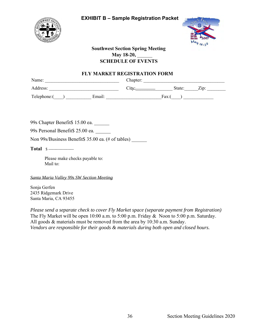



#### **Southwest Section Spring Meeting May 18-20,** \_\_\_\_\_\_ **SCHEDULE OF EVENTS**

#### **FLY MARKET REGISTRATION FORM**

| Name:       |        | Chapter: |        |             |  |
|-------------|--------|----------|--------|-------------|--|
| Address:    |        | `itv:    | State: | $\angle 10$ |  |
| Telephone:( | Email: |          | Fax:(  |             |  |

99s Chapter Benefit\$ 15.00 ea. \_\_\_\_\_\_

99s Personal Benefit\$ 25.00 ea. \_\_\_\_\_\_

Non 99s/Business Benefit\$ 35.00 ea. (# of tables) \_\_\_\_\_\_

**Total \$** ---------------------

Please make checks payable to: Mail to:

*Santa Maria Valley 99s SW Section Meeting*

Sonja Gerfen 2435 Ridgemark Drive Santa Maria, CA 93455

*Please send a separate check to cover Fly Market space (separate payment from Registration)* The Fly Market will be open 10:00 a.m. to 5:00 p.m. Friday & Noon to 5:00 p.m. Saturday. All goods & materials must be removed from the area by 10:30 a.m. Sunday. *Vendors are responsible for their goods & materials during both open and closed hours.*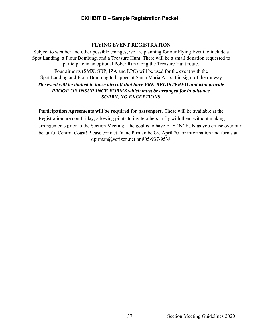#### **FLYING EVENT REGISTRATION**

Subject to weather and other possible changes, we are planning for our Flying Event to include a Spot Landing, a Flour Bombing, and a Treasure Hunt. There will be a small donation requested to participate in an optional Poker Run along the Treasure Hunt route.

Four airports (SMX, SBP, IZA and LPC) will be used for the event with the Spot Landing and Flour Bombing to happen at Santa Maria Airport in sight of the runway *The event will be limited to those aircraft that have PRE-REGISTERED and who provide PROOF OF INSURANCE FORMS which must be arranged for in advance SORRY, NO EXCEPTIONS* 

**Participation Agreements will be required for passengers**. These will be available at the Registration area on Friday, allowing pilots to invite others to fly with them without making arrangements prior to the Section Meeting - the goal is to have FLY 'N' FUN as you cruise over our beautiful Central Coast! Please contact Diane Pirman before April 20 for information and forms at dpirman@verizon.net or 805-937-9538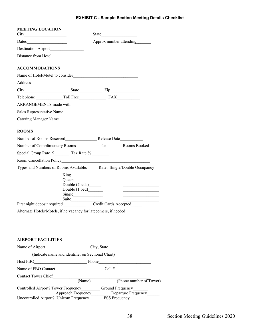#### **EXHIBIT C - Sample Section Meeting Details Checklist**

| <b>MEETING LOCATION</b>                                                                                                                                                                                                        |                                                                  | State |                         |
|--------------------------------------------------------------------------------------------------------------------------------------------------------------------------------------------------------------------------------|------------------------------------------------------------------|-------|-------------------------|
|                                                                                                                                                                                                                                |                                                                  |       | Approx number attending |
|                                                                                                                                                                                                                                |                                                                  |       |                         |
|                                                                                                                                                                                                                                |                                                                  |       |                         |
| <b>ACCOMMODATIONS</b>                                                                                                                                                                                                          |                                                                  |       |                         |
|                                                                                                                                                                                                                                |                                                                  |       |                         |
| Address experiences and the contract of the contract of the contract of the contract of the contract of the contract of the contract of the contract of the contract of the contract of the contract of the contract of the co |                                                                  |       |                         |
| City State Zip                                                                                                                                                                                                                 |                                                                  |       |                         |
|                                                                                                                                                                                                                                |                                                                  |       |                         |
| <b>ARRANGEMENTS</b> made with:                                                                                                                                                                                                 |                                                                  |       |                         |
| Sales Representative Name                                                                                                                                                                                                      |                                                                  |       |                         |
| Catering Manager Name                                                                                                                                                                                                          |                                                                  |       |                         |
| <b>ROOMS</b>                                                                                                                                                                                                                   |                                                                  |       |                         |
|                                                                                                                                                                                                                                |                                                                  |       |                         |
|                                                                                                                                                                                                                                |                                                                  |       |                         |
|                                                                                                                                                                                                                                |                                                                  |       |                         |
|                                                                                                                                                                                                                                |                                                                  |       |                         |
| Types and Numbers of Rooms Available: Rate: Single/Double Occupancy                                                                                                                                                            |                                                                  |       |                         |
|                                                                                                                                                                                                                                | Double (2beds)_______<br>Double (1 bed)                          |       |                         |
|                                                                                                                                                                                                                                |                                                                  |       |                         |
|                                                                                                                                                                                                                                | Alternate Hotels/Motels, if no vacancy for latecomers, if needed |       |                         |
|                                                                                                                                                                                                                                |                                                                  |       |                         |

| Name of Airport                                           | City, State                             |
|-----------------------------------------------------------|-----------------------------------------|
| (Indicate name and identifier on Sectional Chart)         |                                         |
| Host FBO                                                  | Phone                                   |
| Name of FBO Contact                                       | Cell #                                  |
| <b>Contact Tower Chief</b>                                |                                         |
| (Name)                                                    | (Phone number of Tower)                 |
| Controlled Airport? Tower Frequency<br>Approach Frequency | Ground Frequency<br>Departure Frequency |
| Uncontrolled Airport? Unicom Frequency                    | FSS Frequency                           |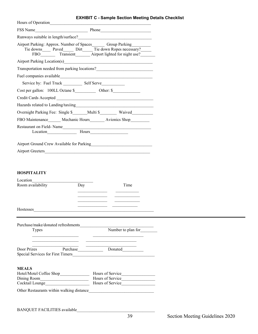| Hours of Operation                                                                                                                                  |                             |                                                                                                                                                                                                                                      |
|-----------------------------------------------------------------------------------------------------------------------------------------------------|-----------------------------|--------------------------------------------------------------------------------------------------------------------------------------------------------------------------------------------------------------------------------------|
|                                                                                                                                                     |                             |                                                                                                                                                                                                                                      |
|                                                                                                                                                     |                             |                                                                                                                                                                                                                                      |
|                                                                                                                                                     |                             |                                                                                                                                                                                                                                      |
| Airport Parking: Approx. Number of Spaces ______ Group Parking _______<br>Tie downs_______ Paved________ Dirt______ Tie down Ropes necessary?______ |                             | FBO Transient Airport lighted for night use?                                                                                                                                                                                         |
| Airport Parking Location(s) 2008 - 2008 - 2010 - 2010 - 2010 - 2010 - 2010 - 2010 - 2010 - 2010 - 2010 - 2010                                       |                             |                                                                                                                                                                                                                                      |
| Transportation needed from parking locations?___________________________________                                                                    |                             |                                                                                                                                                                                                                                      |
|                                                                                                                                                     |                             |                                                                                                                                                                                                                                      |
|                                                                                                                                                     |                             |                                                                                                                                                                                                                                      |
|                                                                                                                                                     |                             |                                                                                                                                                                                                                                      |
|                                                                                                                                                     |                             |                                                                                                                                                                                                                                      |
|                                                                                                                                                     |                             |                                                                                                                                                                                                                                      |
| Overnight Parking Fee: Single \$_______ Multi \$__________ Waived_________                                                                          |                             |                                                                                                                                                                                                                                      |
| FBO Maintenance Mechanic Hours Avionics Shop                                                                                                        |                             |                                                                                                                                                                                                                                      |
| Restaurant on Field-Name                                                                                                                            |                             |                                                                                                                                                                                                                                      |
| Location Hours                                                                                                                                      |                             |                                                                                                                                                                                                                                      |
|                                                                                                                                                     |                             |                                                                                                                                                                                                                                      |
|                                                                                                                                                     |                             |                                                                                                                                                                                                                                      |
|                                                                                                                                                     |                             |                                                                                                                                                                                                                                      |
|                                                                                                                                                     |                             |                                                                                                                                                                                                                                      |
| <b>HOSPITALITY</b>                                                                                                                                  |                             |                                                                                                                                                                                                                                      |
|                                                                                                                                                     |                             |                                                                                                                                                                                                                                      |
|                                                                                                                                                     |                             |                                                                                                                                                                                                                                      |
| Room availability                                                                                                                                   | Day                         | Time                                                                                                                                                                                                                                 |
|                                                                                                                                                     |                             |                                                                                                                                                                                                                                      |
|                                                                                                                                                     | <u> 1999 - Jan Jan Jawa</u> |                                                                                                                                                                                                                                      |
|                                                                                                                                                     |                             |                                                                                                                                                                                                                                      |
| Hostesses                                                                                                                                           |                             |                                                                                                                                                                                                                                      |
|                                                                                                                                                     |                             |                                                                                                                                                                                                                                      |
|                                                                                                                                                     |                             |                                                                                                                                                                                                                                      |
| <b>Types</b>                                                                                                                                        |                             | Number to plan for                                                                                                                                                                                                                   |
| the control of the control of the control of the control of the control of                                                                          |                             | <u> 2002 - John Harry John Harry John Harry John Harry John Harry John Harry John Harry John Harry John Harry John Harry John Harry John Harry John Harry John Harry John Harry John Harry John Harry John Harry John Harry John</u> |
|                                                                                                                                                     |                             |                                                                                                                                                                                                                                      |
| Door Prizes Purchase Donated Donated                                                                                                                |                             |                                                                                                                                                                                                                                      |
|                                                                                                                                                     |                             |                                                                                                                                                                                                                                      |
| <b>MEALS</b>                                                                                                                                        |                             |                                                                                                                                                                                                                                      |
|                                                                                                                                                     |                             |                                                                                                                                                                                                                                      |
|                                                                                                                                                     |                             |                                                                                                                                                                                                                                      |
|                                                                                                                                                     |                             |                                                                                                                                                                                                                                      |

BANQUET FACILITIES available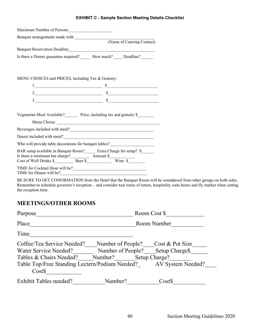#### **EXHIBIT C - Sample Section Meeting Details Checklist**

| Maximum Number of Persons                                                                                                                                                                                                              |                                |
|----------------------------------------------------------------------------------------------------------------------------------------------------------------------------------------------------------------------------------------|--------------------------------|
| Banquet arrangements made with (Name of Catering Contact)                                                                                                                                                                              |                                |
|                                                                                                                                                                                                                                        |                                |
|                                                                                                                                                                                                                                        |                                |
| Is there a Dinner guarantee required? How much? Deadline?                                                                                                                                                                              |                                |
|                                                                                                                                                                                                                                        |                                |
|                                                                                                                                                                                                                                        |                                |
| MENU CHOICES and PRICES, including Tax & Gratuity:                                                                                                                                                                                     |                                |
|                                                                                                                                                                                                                                        | $1.$ $\overline{\phantom{a}1.$ |
|                                                                                                                                                                                                                                        | 2. $\frac{1}{\sqrt{2\pi}}$     |
|                                                                                                                                                                                                                                        |                                |
|                                                                                                                                                                                                                                        |                                |
| Vegetarian Meal Available? Frice, including tax and gratuity \$                                                                                                                                                                        |                                |
|                                                                                                                                                                                                                                        |                                |
| Beverages included with meal?                                                                                                                                                                                                          |                                |
|                                                                                                                                                                                                                                        |                                |
| Who will provide table decorations for banquet tables?<br><u>Letting and the set of the set of the set of the set of the set of the set of the set of the set of the set of the set of the set of the set of the set of the set of</u> |                                |
| BAR setup available in Banquet Room?________ Extra Charge for setup? \$_______                                                                                                                                                         |                                |
|                                                                                                                                                                                                                                        |                                |
|                                                                                                                                                                                                                                        |                                |
|                                                                                                                                                                                                                                        |                                |
| TIME for Dinner will be?                                                                                                                                                                                                               |                                |

BE SURE TO GET CONFIRMATION from the Hotel that the Banquet Room will be soundproof from other groups on both sides. Remember to schedule governor's reception – and consider tour times of return, hospitality suite hours and fly market when setting the reception time.

### **MEETINGS/OTHER ROOMS**

| Purpose                                                                                                                                     |                                                   | Room Cost \$                                                                        |
|---------------------------------------------------------------------------------------------------------------------------------------------|---------------------------------------------------|-------------------------------------------------------------------------------------|
| Place                                                                                                                                       |                                                   | Room Number                                                                         |
| Time                                                                                                                                        |                                                   |                                                                                     |
| Coffee/Tea Service Needed?<br>Water Service Needed?<br>Tables & Chairs Needed?<br>Table Top/Free Standing Lectern/Podium Needed?<br>$Cost\$ | Number of People?<br>Number of People?<br>Number? | Cost & Pot Size<br>Setup Charge <sup>\$</sup><br>Setup Charge?<br>AV System Needed? |
| <b>Exhibit Tables needed?</b>                                                                                                               | Number?                                           | Cost\$                                                                              |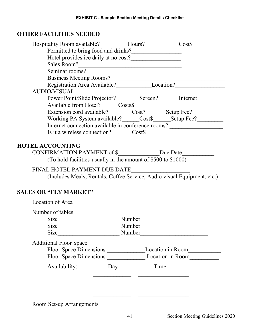### **OTHER FACILITIES NEEDED**

| Hospitality Room available? <b>Marker Access</b> Hours? <b>Marker Access Marker Access Marker Access Marker Access Marker Access Marker Access Marker Access Marker Access Marker Access Marker Access Marker Acc</b> |                                              |        |                                                                                                                                                                                                                                    |  |  |  |
|-----------------------------------------------------------------------------------------------------------------------------------------------------------------------------------------------------------------------|----------------------------------------------|--------|------------------------------------------------------------------------------------------------------------------------------------------------------------------------------------------------------------------------------------|--|--|--|
| Permitted to bring food and drinks?                                                                                                                                                                                   |                                              |        |                                                                                                                                                                                                                                    |  |  |  |
|                                                                                                                                                                                                                       |                                              |        |                                                                                                                                                                                                                                    |  |  |  |
|                                                                                                                                                                                                                       |                                              |        |                                                                                                                                                                                                                                    |  |  |  |
|                                                                                                                                                                                                                       |                                              |        |                                                                                                                                                                                                                                    |  |  |  |
| Business Meeting Rooms?<br>Registration Area Available? Location?                                                                                                                                                     |                                              |        |                                                                                                                                                                                                                                    |  |  |  |
| <b>AUDIO/VISUAL</b>                                                                                                                                                                                                   |                                              |        |                                                                                                                                                                                                                                    |  |  |  |
|                                                                                                                                                                                                                       |                                              |        | Power Point/Slide Projector?<br>Available from Hotel?<br>Extension cord available?<br>Extension cord available?<br>Extension cord available?<br>Extension cord available?<br>Extension Cost?<br>Extension Cost?<br>Extension Cost? |  |  |  |
|                                                                                                                                                                                                                       |                                              |        |                                                                                                                                                                                                                                    |  |  |  |
|                                                                                                                                                                                                                       |                                              |        |                                                                                                                                                                                                                                    |  |  |  |
|                                                                                                                                                                                                                       |                                              |        | Working PA System available?_____Cost\$_____Setup Fee?________                                                                                                                                                                     |  |  |  |
|                                                                                                                                                                                                                       |                                              |        | Internet connection available in conference rooms?                                                                                                                                                                                 |  |  |  |
| Is it a wireless connection? _________ Cost\$ ___________                                                                                                                                                             |                                              |        |                                                                                                                                                                                                                                    |  |  |  |
|                                                                                                                                                                                                                       |                                              |        |                                                                                                                                                                                                                                    |  |  |  |
| <b>HOTEL ACCOUNTING</b>                                                                                                                                                                                               |                                              |        |                                                                                                                                                                                                                                    |  |  |  |
| CONFIRMATION PAYMENT of \$____________Due Date______                                                                                                                                                                  |                                              |        |                                                                                                                                                                                                                                    |  |  |  |
| (To hold facilities-usually in the amount of \$500 to \$1000)                                                                                                                                                         |                                              |        |                                                                                                                                                                                                                                    |  |  |  |
| FINAL HOTEL PAYMENT DUE DATE                                                                                                                                                                                          |                                              |        |                                                                                                                                                                                                                                    |  |  |  |
|                                                                                                                                                                                                                       |                                              |        | L HOTEL PAYMENT DUE DATE<br>(Includes Meals, Rentals, Coffee Service, Audio visual Equipment, etc.)                                                                                                                                |  |  |  |
|                                                                                                                                                                                                                       |                                              |        |                                                                                                                                                                                                                                    |  |  |  |
| <b>SALES OR "FLY MARKET"</b>                                                                                                                                                                                          |                                              |        |                                                                                                                                                                                                                                    |  |  |  |
| Location of Area                                                                                                                                                                                                      |                                              |        |                                                                                                                                                                                                                                    |  |  |  |
|                                                                                                                                                                                                                       |                                              |        |                                                                                                                                                                                                                                    |  |  |  |
| Number of tables:                                                                                                                                                                                                     |                                              |        |                                                                                                                                                                                                                                    |  |  |  |
| Size Number                                                                                                                                                                                                           |                                              |        |                                                                                                                                                                                                                                    |  |  |  |
| Size                                                                                                                                                                                                                  |                                              | Number |                                                                                                                                                                                                                                    |  |  |  |
| Size                                                                                                                                                                                                                  |                                              | Number |                                                                                                                                                                                                                                    |  |  |  |
| <b>Additional Floor Space</b>                                                                                                                                                                                         |                                              |        |                                                                                                                                                                                                                                    |  |  |  |
|                                                                                                                                                                                                                       |                                              |        | Floor Space Dimensions ___________________Location in Room_______________________                                                                                                                                                  |  |  |  |
|                                                                                                                                                                                                                       |                                              |        | Floor Space Dimensions Location in Room                                                                                                                                                                                            |  |  |  |
| Availability:                                                                                                                                                                                                         |                                              | Time   |                                                                                                                                                                                                                                    |  |  |  |
|                                                                                                                                                                                                                       | Day                                          |        |                                                                                                                                                                                                                                    |  |  |  |
|                                                                                                                                                                                                                       |                                              |        |                                                                                                                                                                                                                                    |  |  |  |
|                                                                                                                                                                                                                       |                                              |        |                                                                                                                                                                                                                                    |  |  |  |
|                                                                                                                                                                                                                       |                                              |        | <u> 1989 - Johann John Stein, market fan it ferstjer fan it ferstjer fan it ferstjer fan it ferstjer fan it fers</u>                                                                                                               |  |  |  |
|                                                                                                                                                                                                                       | the control of the control of the control of |        |                                                                                                                                                                                                                                    |  |  |  |
| Room Set-up Arrangements                                                                                                                                                                                              |                                              |        |                                                                                                                                                                                                                                    |  |  |  |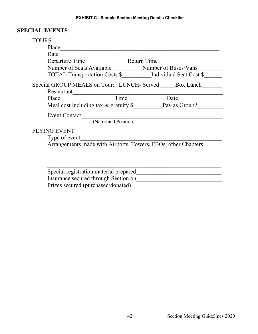#### **EXHIBIT C - Sample Section Meeting Details Checklist**

#### **SPECIAL EVENTS**

### TOURS Place\_\_\_\_\_\_\_\_\_\_\_\_\_\_\_\_\_\_\_\_\_\_\_\_\_\_\_\_\_\_\_\_\_\_\_\_\_\_\_\_\_\_\_\_\_\_\_\_\_\_\_\_\_\_ Date\_\_\_\_\_\_\_\_\_\_\_\_\_\_\_\_\_\_\_\_\_\_\_\_\_\_\_\_\_\_\_\_\_\_\_\_\_\_\_\_\_\_\_\_\_\_\_\_\_\_\_\_\_\_\_ Departure Time \_\_\_\_\_\_\_\_\_\_\_\_\_\_\_\_\_\_\_\_\_\_Return Time\_\_\_\_\_\_\_\_\_\_\_\_\_\_\_\_\_\_\_\_\_\_\_\_\_\_\_\_\_\_\_\_ Number of Seats Available \_\_\_\_\_\_\_\_\_\_\_Number of Buses/Vans\_\_\_\_\_\_\_\_\_\_\_\_\_\_\_\_\_\_\_\_\_\_\_ TOTAL Transportation Costs \$\_\_\_\_\_\_\_\_\_\_Individual Seat Cost \$\_\_\_\_\_\_ Special GROUP MEALS on Tour: LUNCH- Served \_\_\_\_\_\_Box Lunch\_\_\_\_\_\_\_\_\_ Restaurant\_\_\_\_\_\_\_\_\_\_\_\_\_\_\_\_\_\_\_\_\_\_\_\_\_\_\_\_\_\_\_\_\_\_\_\_\_\_\_\_\_\_\_\_\_\_\_\_\_\_\_ Place \_\_\_\_\_\_\_\_\_\_\_\_\_\_\_\_\_\_Time \_\_\_\_\_\_\_\_\_\_\_\_\_Date\_\_\_\_\_\_\_\_\_\_\_\_\_\_\_\_ Meal cost including tax & gratuity  $\overline{\S}$  Pay as Group? Event Contact (Name and Position) FLYING EVENT Type of event Arrangements made with Airports, Towers, FBOs, other Chapters \_\_\_\_\_\_\_\_\_\_\_\_\_\_\_\_\_\_\_\_\_\_\_\_\_\_\_\_\_\_\_\_\_\_\_\_\_\_\_\_\_\_\_\_\_\_\_\_\_\_\_\_\_\_\_\_\_\_\_  $\mathcal{L}_\text{G}$  , and the contribution of the contribution of the contribution of the contribution of the contribution of the contribution of the contribution of the contribution of the contribution of the contribution of t \_\_\_\_\_\_\_\_\_\_\_\_\_\_\_\_\_\_\_\_\_\_\_\_\_\_\_\_\_\_\_\_\_\_\_\_\_\_\_\_\_\_\_\_\_\_\_\_\_\_\_\_\_\_\_\_\_\_\_ Special registration material prepared\_\_\_\_\_\_\_\_\_\_\_\_\_\_\_\_\_\_\_\_\_\_\_\_\_\_\_\_\_ Insurance secured through Section on\_\_\_\_\_\_\_\_\_\_\_\_\_\_\_\_\_\_\_\_\_\_\_\_\_\_\_\_\_ Prizes secured (purchased/donated)\_\_\_\_\_\_\_\_\_\_\_\_\_\_\_\_\_\_\_\_\_\_\_\_\_\_\_\_\_\_\_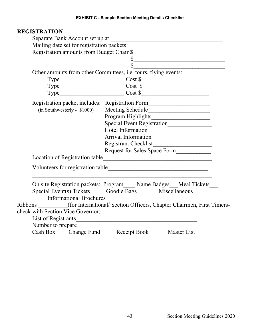### **REGISTRATION**

|                                                  | $\overline{\text{S}}$                                                            |  |  |  |  |  |
|--------------------------------------------------|----------------------------------------------------------------------------------|--|--|--|--|--|
|                                                  | $\overline{\mathbb{S}}$                                                          |  |  |  |  |  |
|                                                  | Other amounts from other Committees, i.e. tours, flying events:                  |  |  |  |  |  |
|                                                  | Type Cost \$<br>Type Cost \$                                                     |  |  |  |  |  |
|                                                  |                                                                                  |  |  |  |  |  |
|                                                  | $Type$ $Cost $$                                                                  |  |  |  |  |  |
|                                                  | Registration packet includes: Registration Form_________________________________ |  |  |  |  |  |
| (in Southwesterly - \$1000)                      | Meeting Schedule                                                                 |  |  |  |  |  |
|                                                  |                                                                                  |  |  |  |  |  |
| Program Highlights<br>Special Event Registration |                                                                                  |  |  |  |  |  |
|                                                  | Hotel Information                                                                |  |  |  |  |  |
|                                                  | Arrival Information                                                              |  |  |  |  |  |
|                                                  |                                                                                  |  |  |  |  |  |
|                                                  | Request for Sales Space Form                                                     |  |  |  |  |  |
|                                                  |                                                                                  |  |  |  |  |  |
|                                                  |                                                                                  |  |  |  |  |  |
|                                                  |                                                                                  |  |  |  |  |  |
|                                                  |                                                                                  |  |  |  |  |  |
|                                                  | On site Registration packets: Program____ Name Badges__Meal Tickets___           |  |  |  |  |  |
|                                                  | Special Event(s) Tickets_____ Goodie Bags ______ Miscellaneous                   |  |  |  |  |  |
| <b>Informational Brochures</b>                   |                                                                                  |  |  |  |  |  |
|                                                  | Ribbons (for International/ Section Officers, Chapter Chairmen, First Timers-    |  |  |  |  |  |
| check with Section Vice Governor)                |                                                                                  |  |  |  |  |  |
|                                                  | List of Registrants                                                              |  |  |  |  |  |
| Number to prepare                                |                                                                                  |  |  |  |  |  |
|                                                  | Cash Box Change Fund Receipt Book Master List                                    |  |  |  |  |  |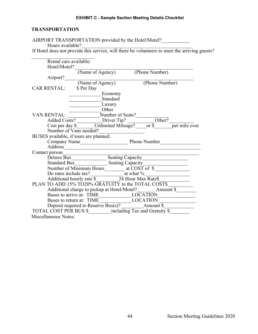#### **EXHIBIT C - Sample Section Meeting Details Checklist**

#### **TRANSPORTATION**

| Hours available?       | AIRPORT TRANSPORTATION provided by the Hotel/Motel?                                                                                     |          |                                                                                               |
|------------------------|-----------------------------------------------------------------------------------------------------------------------------------------|----------|-----------------------------------------------------------------------------------------------|
|                        |                                                                                                                                         |          | If Hotel does not provide this service, will there be volunteers to meet the arriving guests? |
|                        |                                                                                                                                         |          |                                                                                               |
| Rental cars available: |                                                                                                                                         |          |                                                                                               |
| Hotel/Motel?           | (Name of Agency) (Phone Number)                                                                                                         |          |                                                                                               |
|                        | Airport? (Name of Agency) (Phone Number)                                                                                                |          |                                                                                               |
|                        |                                                                                                                                         |          |                                                                                               |
| CAR RENTAL: \$ Per Day |                                                                                                                                         |          |                                                                                               |
|                        | Economy                                                                                                                                 |          |                                                                                               |
|                        |                                                                                                                                         | Standard |                                                                                               |
|                        | Luxury                                                                                                                                  |          |                                                                                               |
|                        | Other                                                                                                                                   |          |                                                                                               |
|                        |                                                                                                                                         |          |                                                                                               |
|                        |                                                                                                                                         |          |                                                                                               |
|                        |                                                                                                                                         |          |                                                                                               |
|                        | BUSES available, if tours are planned;                                                                                                  |          |                                                                                               |
|                        |                                                                                                                                         |          |                                                                                               |
|                        |                                                                                                                                         |          |                                                                                               |
|                        | Address                                                                                                                                 |          |                                                                                               |
|                        |                                                                                                                                         |          |                                                                                               |
|                        |                                                                                                                                         |          |                                                                                               |
|                        |                                                                                                                                         |          |                                                                                               |
|                        | Contact person<br>Deluxe Bus<br>Standard Bus<br>Number of Minimum Hours<br>Number of Minimum Hours<br>Peating Capacity<br>at COST of \$ |          |                                                                                               |
|                        |                                                                                                                                         |          |                                                                                               |
|                        |                                                                                                                                         |          |                                                                                               |
|                        |                                                                                                                                         |          |                                                                                               |
|                        |                                                                                                                                         |          |                                                                                               |
|                        |                                                                                                                                         |          |                                                                                               |
|                        | Buses to arrive at: TIME LOCATION<br>Buses to return at: TIME LOCATION<br>Deposit required to Reserve Bus(s)? Amount \$                 |          |                                                                                               |
|                        |                                                                                                                                         |          |                                                                                               |
| Miscellaneous Notes:   |                                                                                                                                         |          |                                                                                               |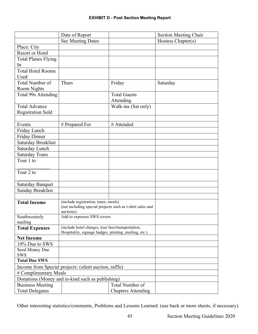|                                                        | Date of Report                                            |                           | <b>Section Meeting Chair</b> |  |  |
|--------------------------------------------------------|-----------------------------------------------------------|---------------------------|------------------------------|--|--|
|                                                        | <b>Sec Meeting Dates</b>                                  |                           | Hostess Chapter(s)           |  |  |
| Place: City                                            |                                                           |                           |                              |  |  |
| Resort or Hotel                                        |                                                           |                           |                              |  |  |
| <b>Total Planes Flying</b>                             |                                                           |                           |                              |  |  |
| In                                                     |                                                           |                           |                              |  |  |
| <b>Total Hotel Rooms</b>                               |                                                           |                           |                              |  |  |
| Used                                                   |                                                           |                           |                              |  |  |
| Total Number of                                        | <b>Thurs</b>                                              | Friday                    | Saturday                     |  |  |
| <b>Room Nights</b>                                     |                                                           |                           |                              |  |  |
| Total 99s Attending                                    |                                                           | <b>Total Guests</b>       |                              |  |  |
|                                                        |                                                           | Attending                 |                              |  |  |
| <b>Total Advance</b>                                   |                                                           | Walk-ins (Sat only)       |                              |  |  |
| <b>Registration Sold</b>                               |                                                           |                           |                              |  |  |
|                                                        |                                                           |                           |                              |  |  |
| Events                                                 | # Prepared For                                            | # Attended                |                              |  |  |
| Friday Lunch                                           |                                                           |                           |                              |  |  |
| Friday Dinner                                          |                                                           |                           |                              |  |  |
| Saturday Breakfast                                     |                                                           |                           |                              |  |  |
| Saturday Lunch                                         |                                                           |                           |                              |  |  |
| <b>Saturday Tours</b>                                  |                                                           |                           |                              |  |  |
| Tour 1 to                                              |                                                           |                           |                              |  |  |
|                                                        |                                                           |                           |                              |  |  |
| Tour 2 to                                              |                                                           |                           |                              |  |  |
|                                                        |                                                           |                           |                              |  |  |
| <b>Saturday Banquet</b>                                |                                                           |                           |                              |  |  |
| <b>Sunday Breakfast</b>                                |                                                           |                           |                              |  |  |
|                                                        |                                                           |                           |                              |  |  |
| <b>Total Income</b>                                    | (include registration, tours, meals)                      |                           |                              |  |  |
|                                                        | (not including special projects such as t-shirt sales and |                           |                              |  |  |
|                                                        | auctions)<br>Add to expenses SWS covers                   |                           |                              |  |  |
| Southwesterly                                          |                                                           |                           |                              |  |  |
| mailing<br><b>Total Expenses</b>                       | (include hotel charges, tour fees/transportation,         |                           |                              |  |  |
|                                                        | Hospitality, signage badges, printing , mailing, etc.)    |                           |                              |  |  |
| <b>Net Income</b>                                      |                                                           |                           |                              |  |  |
| 10% Due to SWS                                         |                                                           |                           |                              |  |  |
| Seed Money Due                                         |                                                           |                           |                              |  |  |
| <b>SWS</b>                                             |                                                           |                           |                              |  |  |
| <b>Total Due SWS</b>                                   |                                                           |                           |                              |  |  |
| Income from Special projects: (silent auction, raffle) |                                                           |                           |                              |  |  |
| # Complimentary Meals                                  |                                                           |                           |                              |  |  |
| Donations (Money and in-kind such as publishing)       |                                                           |                           |                              |  |  |
| <b>Business Meeting</b>                                |                                                           | Total Number of           |                              |  |  |
| <b>Total Delegates</b>                                 |                                                           | <b>Chapters Attending</b> |                              |  |  |

Other interesting statistics/comments, Problems and Lessons Learned: (use back or more sheets, if necessary)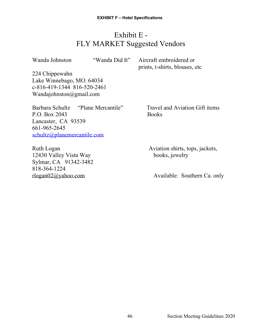## Exhibit E - FLY MARKET Suggested Vendors

Wanda Johnston "Wanda Did It" Aircraft embroidered or prints, t-shirts, blouses, etc

224 Chippewahn Lake Winnebago, MO. 64034 c-816-419-1344 816-520-2461 Wandajohnston@gmail.com

Barbara Schultz "Plane Mercantile" Travel and Aviation Gift items P.O. Box 2043 Books Lancaster, CA 93539 661-965-2645 [schultz@planemercantile.com](mailto:schultz@planemercantile.com)

12430 Valley Vista Way books, jewelry Sylmar, CA 91342-3482 818-364-1224

Ruth Logan Aviation shirts, tops, jackets,

[rlogan02@yahoo.com](mailto:rlogan02@yahoo.com) Available: Southern Ca. only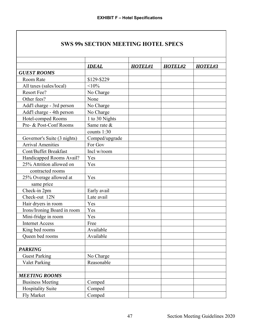### **SWS 99s SECTION MEETING HOTEL SPECS**

|                             | <b>IDEAL</b>   | <b>HOTEL#1</b> | HOTEL#2 | HOTEL#3 |
|-----------------------------|----------------|----------------|---------|---------|
| <b>GUEST ROOMS</b>          |                |                |         |         |
| Room Rate                   | \$129-\$229    |                |         |         |
| All taxes (sales/local)     | <10%           |                |         |         |
| Resort Fee?                 | No Charge      |                |         |         |
| Other fees?                 | None           |                |         |         |
| Add'l charge - 3rd person   | No Charge      |                |         |         |
| Add'l charge - 4th person   | No Charge      |                |         |         |
| Hotel-comped Rooms          | 1 to 30 Nights |                |         |         |
| Pre- & Post-Conf Rooms      | Same rate &    |                |         |         |
|                             | counts $1:30$  |                |         |         |
| Governor's Suite (3 nights) | Comped/upgrade |                |         |         |
| <b>Arrival Amenities</b>    | For Gov        |                |         |         |
| Cont/Buffet Breakfast       | Incl w/room    |                |         |         |
| Handicapped Rooms Avail?    | Yes            |                |         |         |
| 25% Attrition allowed on    | Yes            |                |         |         |
| contracted rooms            |                |                |         |         |
| 25% Overage allowed at      | Yes            |                |         |         |
| same price                  |                |                |         |         |
| Check-in 2pm                | Early avail    |                |         |         |
| Check-out 12N               | Late avail     |                |         |         |
| Hair dryers in room         | Yes            |                |         |         |
| Irons/Ironing Board in room | Yes            |                |         |         |
| Mini-fridge in room         | Yes            |                |         |         |
| <b>Internet Access</b>      | Free           |                |         |         |
| King bed rooms              | Available      |                |         |         |
| Queen bed rooms             | Available      |                |         |         |
|                             |                |                |         |         |
| <b>PARKING</b>              |                |                |         |         |
| <b>Guest Parking</b>        | No Charge      |                |         |         |
| <b>Valet Parking</b>        | Reasonable     |                |         |         |
|                             |                |                |         |         |
| <b>MEETING ROOMS</b>        |                |                |         |         |
| <b>Business Meeting</b>     | Comped         |                |         |         |
| <b>Hospitality Suite</b>    | Comped         |                |         |         |
| Fly Market                  | Comped         |                |         |         |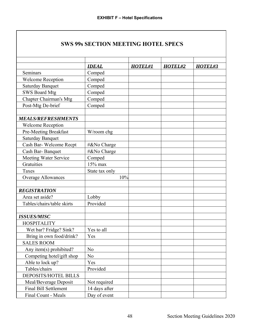### **SWS 99s SECTION MEETING HOTEL SPECS**

|                               | <b>IDEAL</b>   | HOTEL#1 | HOTEL#2 | HOTEL#3 |
|-------------------------------|----------------|---------|---------|---------|
| Seminars                      | Comped         |         |         |         |
| <b>Welcome Reception</b>      | Comped         |         |         |         |
| <b>Saturday Banquet</b>       | Comped         |         |         |         |
| <b>SWS Board Mtg</b>          | Comped         |         |         |         |
| <b>Chapter Chairman's Mtg</b> | Comped         |         |         |         |
| Post-Mtg De-brief             | Comped         |         |         |         |
|                               |                |         |         |         |
| <b>MEALS/REFRESHMENTS</b>     |                |         |         |         |
| <b>Welcome Reception</b>      |                |         |         |         |
| Pre-Meeting Breakfast         | W/room chg     |         |         |         |
| <b>Saturday Banquet</b>       |                |         |         |         |
| Cash Bar-Welcome Recpt        | #&No Charge    |         |         |         |
| Cash Bar-Banquet              | #&No Charge    |         |         |         |
| Meeting Water Service         | Comped         |         |         |         |
| Gratuities                    | 15% max        |         |         |         |
| Taxes                         | State tax only |         |         |         |
| <b>Overage Allowances</b>     | 10%            |         |         |         |
|                               |                |         |         |         |
| <b>REGISTRATION</b>           |                |         |         |         |
| Area set aside?               | Lobby          |         |         |         |
| Tables/chairs/table skirts    | Provided       |         |         |         |
|                               |                |         |         |         |
| <b>ISSUES/MISC</b>            |                |         |         |         |
| <b>HOSPITALITY</b>            |                |         |         |         |
| Wet bar? Fridge? Sink?        | Yes to all     |         |         |         |
| Bring in own food/drink?      | Yes            |         |         |         |
| <b>SALES ROOM</b>             |                |         |         |         |
| Any item(s) prohibited?       | N <sub>o</sub> |         |         |         |
| Competing hotel/gift shop     | N <sub>0</sub> |         |         |         |
| Able to lock up?              | Yes            |         |         |         |
| Tables/chairs                 | Provided       |         |         |         |
| DEPOSITS/HOTEL BILLS          |                |         |         |         |
| Meal/Beverage Deposit         | Not required   |         |         |         |
| <b>Final Bill Settlement</b>  | 14 days after  |         |         |         |
| Final Count - Meals           | Day of event   |         |         |         |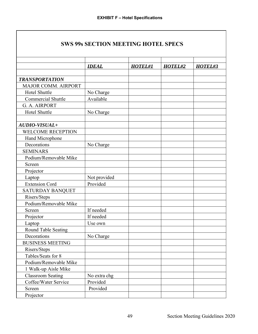### **SWS 99s SECTION MEETING HOTEL SPECS**

|                           | <b>IDEAL</b> | <b>HOTEL#1</b> | HOTEL#2 | HOTEL#3 |
|---------------------------|--------------|----------------|---------|---------|
|                           |              |                |         |         |
| <b>TRANSPORTATION</b>     |              |                |         |         |
| MAJOR COMM. AIRPORT       |              |                |         |         |
| Hotel Shuttle             | No Charge    |                |         |         |
| <b>Commercial Shuttle</b> | Available    |                |         |         |
| G. A. AIRPORT             |              |                |         |         |
| Hotel Shuttle             | No Charge    |                |         |         |
| AUDIO-VISUAL+             |              |                |         |         |
| <b>WELCOME RECEPTION</b>  |              |                |         |         |
| Hand Microphone           |              |                |         |         |
| Decorations               | No Charge    |                |         |         |
| <b>SEMINARS</b>           |              |                |         |         |
| Podium/Removable Mike     |              |                |         |         |
| Screen                    |              |                |         |         |
| Projector                 |              |                |         |         |
| Laptop                    | Not provided |                |         |         |
| <b>Extension Cord</b>     | Provided     |                |         |         |
| <b>SATURDAY BANQUET</b>   |              |                |         |         |
| Risers/Steps              |              |                |         |         |
| Podium/Removable Mike     |              |                |         |         |
| Screen                    | If needed    |                |         |         |
| Projector                 | If needed    |                |         |         |
| Laptop                    | Use own      |                |         |         |
| Round Table Seating       |              |                |         |         |
| Decorations               | No Charge    |                |         |         |
| <b>BUSINESS MEETING</b>   |              |                |         |         |
| Risers/Steps              |              |                |         |         |
| Tables/Seats for 8        |              |                |         |         |
| Podium/Removable Mike     |              |                |         |         |
| 1 Walk-up Aisle Mike      |              |                |         |         |
| <b>Classroom Seating</b>  | No extra chg |                |         |         |
| Coffee/Water Service      | Provided     |                |         |         |
| Screen                    | Provided     |                |         |         |
| Projector                 |              |                |         |         |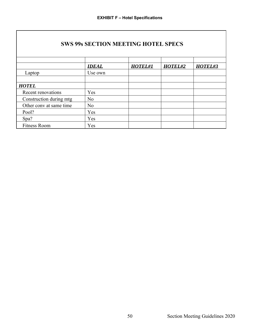|  | <b>SWS 99s SECTION MEETING HOTEL SPECS</b> |  |
|--|--------------------------------------------|--|
|  |                                            |  |

|                         | <b>IDEAL</b>   | <b>HOTEL#1</b> | HOTEL#2 | HOTEL#3 |
|-------------------------|----------------|----------------|---------|---------|
| Laptop                  | Use own        |                |         |         |
|                         |                |                |         |         |
| <b>HOTEL</b>            |                |                |         |         |
| Recent renovations      | Yes            |                |         |         |
| Construction during mtg | N <sub>0</sub> |                |         |         |
| Other conv at same time | N <sub>0</sub> |                |         |         |
| Pool?                   | Yes            |                |         |         |
| Spa?                    | Yes            |                |         |         |
| <b>Fitness Room</b>     | Yes            |                |         |         |